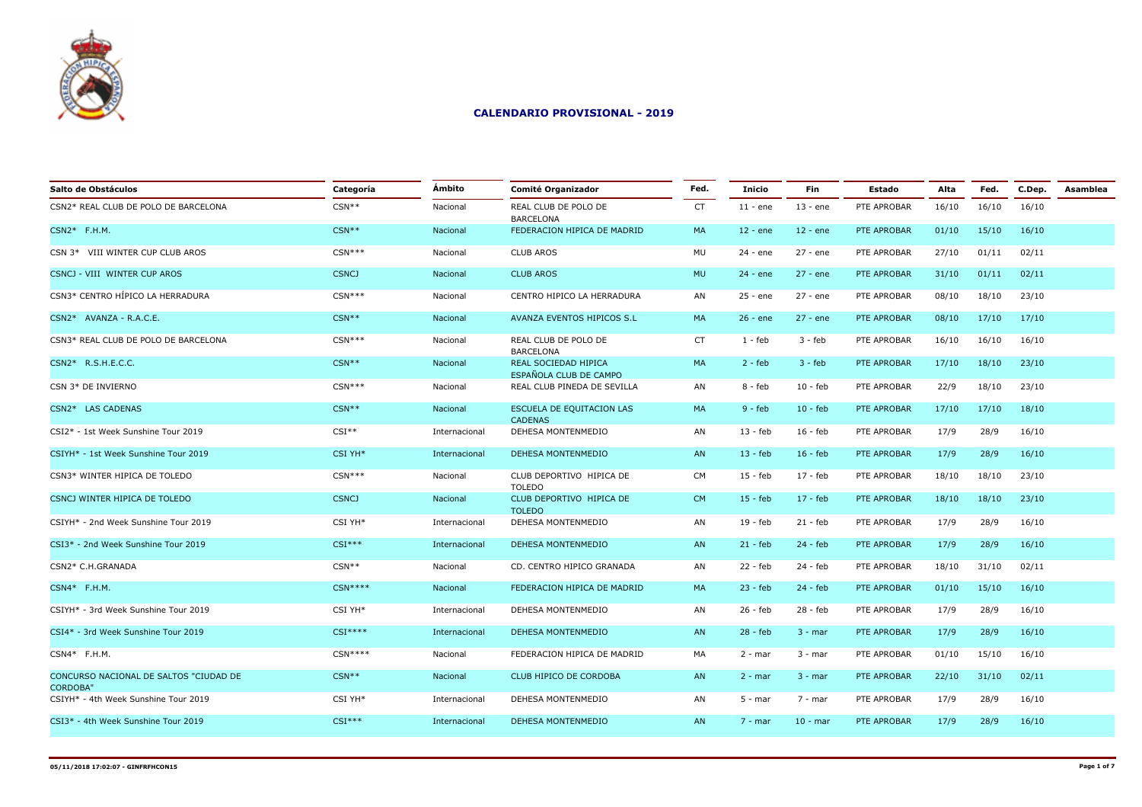

| Salto de Obstáculos                                       | Categoría    | Ámbito        | <b>Comité Organizador</b>                      | Fed.      | <b>Inicio</b> | Fin        | Estado      | Alta  | Fed.  | C.Dep. | Asamblea |
|-----------------------------------------------------------|--------------|---------------|------------------------------------------------|-----------|---------------|------------|-------------|-------|-------|--------|----------|
| CSN2* REAL CLUB DE POLO DE BARCELONA                      | $CSN**$      | Nacional      | REAL CLUB DE POLO DE<br><b>BARCELONA</b>       | <b>CT</b> | $11 - ene$    | $13 - ene$ | PTE APROBAR | 16/10 | 16/10 | 16/10  |          |
| $CSN2*$ F.H.M.                                            | $CSN**$      | Nacional      | FEDERACION HIPICA DE MADRID                    | MA        | $12 - ene$    | $12 - ene$ | PTE APROBAR | 01/10 | 15/10 | 16/10  |          |
| CSN 3* VIII WINTER CUP CLUB AROS                          | $CSN***$     | Nacional      | <b>CLUB AROS</b>                               | MU        | 24 - ene      | 27 - ene   | PTE APROBAR | 27/10 | 01/11 | 02/11  |          |
| CSNCJ - VIII WINTER CUP AROS                              | <b>CSNCJ</b> | Nacional      | <b>CLUB AROS</b>                               | <b>MU</b> | $24 - ene$    | $27 - ene$ | PTE APROBAR | 31/10 | 01/11 | 02/11  |          |
| CSN3* CENTRO HÍPICO LA HERRADURA                          | $CSN***$     | Nacional      | CENTRO HIPICO LA HERRADURA                     | AN        | 25 - ene      | 27 - ene   | PTE APROBAR | 08/10 | 18/10 | 23/10  |          |
| CSN2* AVANZA - R.A.C.E.                                   | $CSN**$      | Nacional      | AVANZA EVENTOS HIPICOS S.L                     | MA        | $26 - ene$    | $27 - ene$ | PTE APROBAR | 08/10 | 17/10 | 17/10  |          |
| CSN3* REAL CLUB DE POLO DE BARCELONA                      | $CSN***$     | Nacional      | REAL CLUB DE POLO DE<br><b>BARCELONA</b>       | <b>CT</b> | $1 - feb$     | $3 - feb$  | PTE APROBAR | 16/10 | 16/10 | 16/10  |          |
| CSN2* R.S.H.E.C.C.                                        | $CSN**$      | Nacional      | REAL SOCIEDAD HIPICA<br>ESPAÑOLA CLUB DE CAMPO | MA        | $2 - feb$     | $3 - feb$  | PTE APROBAR | 17/10 | 18/10 | 23/10  |          |
| CSN 3* DE INVIERNO                                        | $CSN***$     | Nacional      | REAL CLUB PINEDA DE SEVILLA                    | AN        | $8 - feb$     | $10 - feb$ | PTE APROBAR | 22/9  | 18/10 | 23/10  |          |
| CSN2* LAS CADENAS                                         | $CSN**$      | Nacional      | ESCUELA DE EQUITACION LAS<br><b>CADENAS</b>    | <b>MA</b> | $9 - feb$     | $10 - feb$ | PTE APROBAR | 17/10 | 17/10 | 18/10  |          |
| CSI2* - 1st Week Sunshine Tour 2019                       | $CSI**$      | Internacional | DEHESA MONTENMEDIO                             | AN        | $13 - feb$    | $16 - feb$ | PTE APROBAR | 17/9  | 28/9  | 16/10  |          |
| CSIYH* - 1st Week Sunshine Tour 2019                      | CSI YH*      | Internacional | DEHESA MONTENMEDIO                             | AN        | $13 - feb$    | $16 - feb$ | PTE APROBAR | 17/9  | 28/9  | 16/10  |          |
| CSN3* WINTER HIPICA DE TOLEDO                             | $CSN***$     | Nacional      | CLUB DEPORTIVO HIPICA DE<br><b>TOLEDO</b>      | <b>CM</b> | $15 - feb$    | 17 - feb   | PTE APROBAR | 18/10 | 18/10 | 23/10  |          |
| CSNCJ WINTER HIPICA DE TOLEDO                             | <b>CSNCJ</b> | Nacional      | CLUB DEPORTIVO HIPICA DE<br><b>TOLEDO</b>      | <b>CM</b> | $15 - feb$    | $17 - feb$ | PTE APROBAR | 18/10 | 18/10 | 23/10  |          |
| CSIYH* - 2nd Week Sunshine Tour 2019                      | CSI YH*      | Internacional | DEHESA MONTENMEDIO                             | AN        | 19 - feb      | $21 - feb$ | PTE APROBAR | 17/9  | 28/9  | 16/10  |          |
| CSI3* - 2nd Week Sunshine Tour 2019                       | $CSI***$     | Internacional | DEHESA MONTENMEDIO                             | AN        | $21 - feb$    | $24 - feb$ | PTE APROBAR | 17/9  | 28/9  | 16/10  |          |
| CSN2* C.H.GRANADA                                         | $CSN**$      | Nacional      | CD. CENTRO HIPICO GRANADA                      | AN        | 22 - feb      | 24 - feb   | PTE APROBAR | 18/10 | 31/10 | 02/11  |          |
| CSN4* F.H.M.                                              | $CSN***$     | Nacional      | FEDERACION HIPICA DE MADRID                    | MA        | $23 - feb$    | $24 - feb$ | PTE APROBAR | 01/10 | 15/10 | 16/10  |          |
| CSIYH* - 3rd Week Sunshine Tour 2019                      | CSI YH*      | Internacional | DEHESA MONTENMEDIO                             | AN        | 26 - feb      | $28 - feb$ | PTE APROBAR | 17/9  | 28/9  | 16/10  |          |
| CSI4* - 3rd Week Sunshine Tour 2019                       | $CSI***$     | Internacional | DEHESA MONTENMEDIO                             | AN        | $28 - feb$    | $3 - mar$  | PTE APROBAR | 17/9  | 28/9  | 16/10  |          |
| CSN4* F.H.M.                                              | $CSN***$     | Nacional      | FEDERACION HIPICA DE MADRID                    | MA        | $2 - mar$     | $3 - mar$  | PTE APROBAR | 01/10 | 15/10 | 16/10  |          |
| CONCURSO NACIONAL DE SALTOS "CIUDAD DE<br><b>CORDOBA"</b> | $CSN**$      | Nacional      | CLUB HIPICO DE CORDOBA                         | AN        | $2 - mar$     | $3 - mar$  | PTE APROBAR | 22/10 | 31/10 | 02/11  |          |
| CSIYH* - 4th Week Sunshine Tour 2019                      | CSI YH*      | Internacional | DEHESA MONTENMEDIO                             | AN        | $5 - mar$     | $7 - mar$  | PTE APROBAR | 17/9  | 28/9  | 16/10  |          |
| CSI3* - 4th Week Sunshine Tour 2019                       | $CSI***$     | Internacional | <b>DEHESA MONTENMEDIO</b>                      | AN        | $7 - mar$     | $10 - mar$ | PTE APROBAR | 17/9  | 28/9  | 16/10  |          |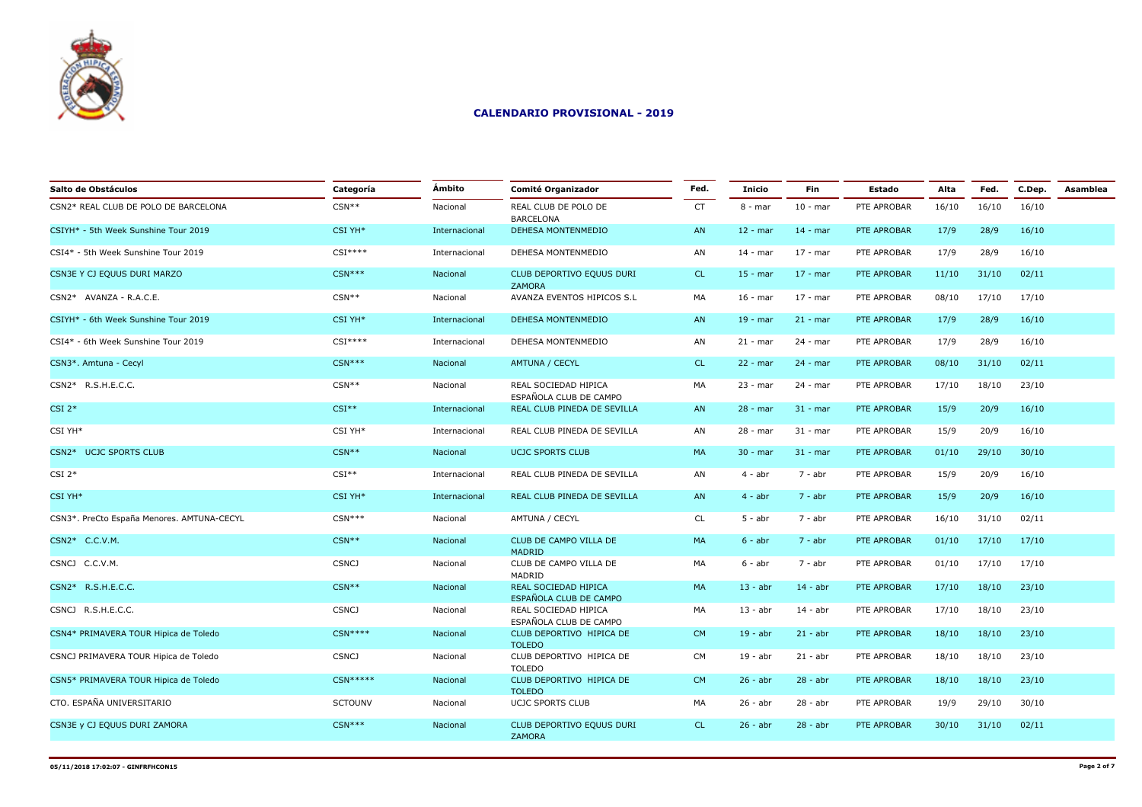

| Salto de Obstáculos                        | Categoría      | Ámbito        | Comité Organizador                             | Fed.      | <b>Inicio</b> | <b>Fin</b> | <b>Estado</b> | Alta  | Fed.  | C.Dep. | Asamblea |
|--------------------------------------------|----------------|---------------|------------------------------------------------|-----------|---------------|------------|---------------|-------|-------|--------|----------|
| CSN2* REAL CLUB DE POLO DE BARCELONA       | $CSN**$        | Nacional      | REAL CLUB DE POLO DE<br><b>BARCELONA</b>       | <b>CT</b> | $8 - mar$     | $10 - mar$ | PTE APROBAR   | 16/10 | 16/10 | 16/10  |          |
| CSIYH* - 5th Week Sunshine Tour 2019       | CSI YH*        | Internacional | DEHESA MONTENMEDIO                             | AN        | $12 - mar$    | $14 - mar$ | PTE APROBAR   | 17/9  | 28/9  | 16/10  |          |
| CSI4* - 5th Week Sunshine Tour 2019        | $CSI***$       | Internacional | DEHESA MONTENMEDIO                             | AN        | $14 - mar$    | $17 - mar$ | PTE APROBAR   | 17/9  | 28/9  | 16/10  |          |
| CSN3E Y CJ EQUUS DURI MARZO                | $CSN***$       | Nacional      | CLUB DEPORTIVO EQUUS DURI<br><b>ZAMORA</b>     | <b>CL</b> | $15 - mar$    | $17 - mar$ | PTE APROBAR   | 11/10 | 31/10 | 02/11  |          |
| CSN2* AVANZA - R.A.C.E.                    | $CSN**$        | Nacional      | AVANZA EVENTOS HIPICOS S.L                     | MA        | $16 - mar$    | $17 - mar$ | PTE APROBAR   | 08/10 | 17/10 | 17/10  |          |
| CSIYH* - 6th Week Sunshine Tour 2019       | CSI YH*        | Internacional | <b>DEHESA MONTENMEDIO</b>                      | AN        | $19 - mar$    | $21 - mar$ | PTE APROBAR   | 17/9  | 28/9  | 16/10  |          |
| CSI4* - 6th Week Sunshine Tour 2019        | $CSI***$       | Internacional | DEHESA MONTENMEDIO                             | AN        | $21 - mar$    | 24 - mar   | PTE APROBAR   | 17/9  | 28/9  | 16/10  |          |
| CSN3*. Amtuna - Cecyl                      | $CSN***$       | Nacional      | AMTUNA / CECYL                                 | CL.       | $22 - mar$    | $24 - mar$ | PTE APROBAR   | 08/10 | 31/10 | 02/11  |          |
| CSN2* R.S.H.E.C.C.                         | $CSN**$        | Nacional      | REAL SOCIEDAD HIPICA<br>ESPAÑOLA CLUB DE CAMPO | MA        | $23 - mar$    | 24 - mar   | PTE APROBAR   | 17/10 | 18/10 | 23/10  |          |
| $CSI$ 2*                                   | $CSI**$        | Internacional | REAL CLUB PINEDA DE SEVILLA                    | AN        | $28 - mar$    | $31 - mar$ | PTE APROBAR   | 15/9  | 20/9  | 16/10  |          |
| CSI YH*                                    | CSI YH*        | Internacional | REAL CLUB PINEDA DE SEVILLA                    | AN        | 28 - mar      | $31 - mar$ | PTE APROBAR   | 15/9  | 20/9  | 16/10  |          |
| CSN2* UCJC SPORTS CLUB                     | $CSN**$        | Nacional      | <b>UCJC SPORTS CLUB</b>                        | MA        | $30 - mar$    | $31 - mar$ | PTE APROBAR   | 01/10 | 29/10 | 30/10  |          |
| $CSI$ 2*                                   | $CSI**$        | Internacional | REAL CLUB PINEDA DE SEVILLA                    | AN        | $4 - abr$     | 7 - abr    | PTE APROBAR   | 15/9  | 20/9  | 16/10  |          |
| CSI YH*                                    | CSI YH*        | Internacional | REAL CLUB PINEDA DE SEVILLA                    | AN        | $4 - abr$     | $7 - abr$  | PTE APROBAR   | 15/9  | 20/9  | 16/10  |          |
| CSN3*. PreCto España Menores. AMTUNA-CECYL | $CSN***$       | Nacional      | AMTUNA / CECYL                                 | CL        | $5 - abr$     | 7 - abr    | PTE APROBAR   | 16/10 | 31/10 | 02/11  |          |
| CSN2* C.C.V.M.                             | $CSN**$        | Nacional      | CLUB DE CAMPO VILLA DE<br><b>MADRID</b>        | MA        | $6 - abr$     | 7 - abr    | PTE APROBAR   | 01/10 | 17/10 | 17/10  |          |
| CSNCJ C.C.V.M.                             | <b>CSNCJ</b>   | Nacional      | CLUB DE CAMPO VILLA DE<br>MADRID               | MA        | $6 - abr$     | 7 - abr    | PTE APROBAR   | 01/10 | 17/10 | 17/10  |          |
| CSN2* R.S.H.E.C.C.                         | $CSN**$        | Nacional      | REAL SOCIEDAD HIPICA<br>ESPAÑOLA CLUB DE CAMPO | MA        | $13 - abr$    | $14 - abr$ | PTE APROBAR   | 17/10 | 18/10 | 23/10  |          |
| CSNCJ R.S.H.E.C.C.                         | <b>CSNCJ</b>   | Nacional      | REAL SOCIEDAD HIPICA<br>ESPAÑOLA CLUB DE CAMPO | MA        | $13 - abr$    | $14 - abr$ | PTE APROBAR   | 17/10 | 18/10 | 23/10  |          |
| CSN4* PRIMAVERA TOUR Hipica de Toledo      | $CSN***$       | Nacional      | CLUB DEPORTIVO HIPICA DE<br><b>TOLEDO</b>      | <b>CM</b> | $19 - abr$    | $21 - abr$ | PTE APROBAR   | 18/10 | 18/10 | 23/10  |          |
| CSNCJ PRIMAVERA TOUR Hipica de Toledo      | <b>CSNCJ</b>   | Nacional      | CLUB DEPORTIVO HIPICA DE<br><b>TOLEDO</b>      | <b>CM</b> | $19 - abr$    | $21 - abr$ | PTE APROBAR   | 18/10 | 18/10 | 23/10  |          |
| CSN5* PRIMAVERA TOUR Hipica de Toledo      | $CSN*****$     | Nacional      | CLUB DEPORTIVO HIPICA DE<br><b>TOLEDO</b>      | <b>CM</b> | $26 - abr$    | $28 - abr$ | PTE APROBAR   | 18/10 | 18/10 | 23/10  |          |
| CTO. ESPAÑA UNIVERSITARIO                  | <b>SCTOUNV</b> | Nacional      | UCJC SPORTS CLUB                               | MA        | $26 - abr$    | $28 - abr$ | PTE APROBAR   | 19/9  | 29/10 | 30/10  |          |
| CSN3E y CJ EQUUS DURI ZAMORA               | $CSN***$       | Nacional      | CLUB DEPORTIVO EQUUS DURI<br><b>ZAMORA</b>     | CL.       | $26 - abr$    | $28 - abr$ | PTE APROBAR   | 30/10 | 31/10 | 02/11  |          |
|                                            |                |               |                                                |           |               |            |               |       |       |        |          |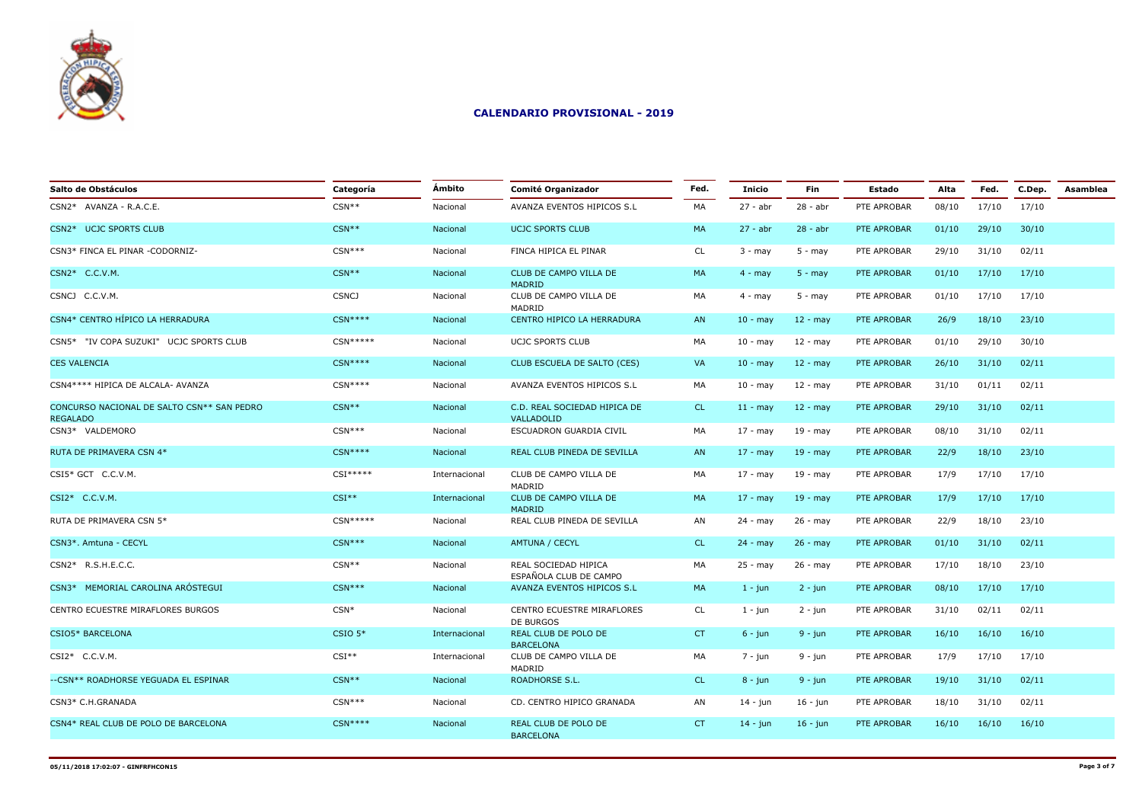

| Salto de Obstáculos                                           | Categoría    | Ámbito        | <b>Comité Organizador</b>                      | Fed.      | <b>Inicio</b>     | Fin         | <b>Estado</b> | Alta  | Fed.  | C.Dep. | Asamblea |
|---------------------------------------------------------------|--------------|---------------|------------------------------------------------|-----------|-------------------|-------------|---------------|-------|-------|--------|----------|
| CSN2* AVANZA - R.A.C.E.                                       | $CSN**$      | Nacional      | AVANZA EVENTOS HIPICOS S.L                     | MA        | $27 - abr$        | $28 - abr$  | PTE APROBAR   | 08/10 | 17/10 | 17/10  |          |
| CSN2* UCJC SPORTS CLUB                                        | $CSN**$      | Nacional      | <b>UCJC SPORTS CLUB</b>                        | <b>MA</b> | $27 - abr$        | $28 - abr$  | PTE APROBAR   | 01/10 | 29/10 | 30/10  |          |
| CSN3* FINCA EL PINAR -CODORNIZ-                               | $CSN***$     | Nacional      | FINCA HIPICA EL PINAR                          | <b>CL</b> | $3 - may$         | $5 - may$   | PTE APROBAR   | 29/10 | 31/10 | 02/11  |          |
| CSN2* C.C.V.M.                                                | $CSN**$      | Nacional      | CLUB DE CAMPO VILLA DE<br>MADRID               | MA        | $4 - may$         | $5 - may$   | PTE APROBAR   | 01/10 | 17/10 | 17/10  |          |
| CSNCJ C.C.V.M.                                                | <b>CSNCJ</b> | Nacional      | CLUB DE CAMPO VILLA DE<br>MADRID               | MA        | $4 - may$         | $5 - may$   | PTE APROBAR   | 01/10 | 17/10 | 17/10  |          |
| CSN4* CENTRO HÍPICO LA HERRADURA                              | $CSN***$     | Nacional      | CENTRO HIPICO LA HERRADURA                     | AN        | $10 - \text{may}$ | $12 - may$  | PTE APROBAR   | 26/9  | 18/10 | 23/10  |          |
| CSN5* "IV COPA SUZUKI" UCJC SPORTS CLUB                       | $CSN****$    | Nacional      | <b>UCJC SPORTS CLUB</b>                        | MA        | $10 - may$        | $12 - may$  | PTE APROBAR   | 01/10 | 29/10 | 30/10  |          |
| <b>CES VALENCIA</b>                                           | $CSN***$     | Nacional      | CLUB ESCUELA DE SALTO (CES)                    | VA        | $10 - \text{may}$ | $12 - may$  | PTE APROBAR   | 26/10 | 31/10 | 02/11  |          |
| CSN4 **** HIPICA DE ALCALA- AVANZA                            | $CSN***$     | Nacional      | AVANZA EVENTOS HIPICOS S.L                     | MA        | $10 -$ may        | 12 - may    | PTE APROBAR   | 31/10 | 01/11 | 02/11  |          |
| CONCURSO NACIONAL DE SALTO CSN** SAN PEDRO<br><b>REGALADO</b> | $CSN**$      | Nacional      | C.D. REAL SOCIEDAD HIPICA DE<br>VALLADOLID     | CL.       | $11 - may$        | $12 - may$  | PTE APROBAR   | 29/10 | 31/10 | 02/11  |          |
| CSN3* VALDEMORO                                               | $CSN***$     | Nacional      | ESCUADRON GUARDIA CIVIL                        | MA        | $17 - may$        | $19 - may$  | PTE APROBAR   | 08/10 | 31/10 | 02/11  |          |
| RUTA DE PRIMAVERA CSN 4*                                      | $CSN***$     | Nacional      | REAL CLUB PINEDA DE SEVILLA                    | AN        | $17 - may$        | $19 - may$  | PTE APROBAR   | 22/9  | 18/10 | 23/10  |          |
| CSI5* GCT C.C.V.M.                                            | $CSI*****$   | Internacional | CLUB DE CAMPO VILLA DE<br>MADRID               | MA        | $17 - may$        | $19 - may$  | PTE APROBAR   | 17/9  | 17/10 | 17/10  |          |
| CSI2* C.C.V.M.                                                | $CSI**$      | Internacional | CLUB DE CAMPO VILLA DE<br><b>MADRID</b>        | MA        | $17 - may$        | $19 - may$  | PTE APROBAR   | 17/9  | 17/10 | 17/10  |          |
| RUTA DE PRIMAVERA CSN 5*                                      | $CSN*****$   | Nacional      | REAL CLUB PINEDA DE SEVILLA                    | AN        | $24 - may$        | 26 - may    | PTE APROBAR   | 22/9  | 18/10 | 23/10  |          |
| CSN3*. Amtuna - CECYL                                         | $CSN***$     | Nacional      | <b>AMTUNA / CECYL</b>                          | CL.       | $24 - may$        | $26 - may$  | PTE APROBAR   | 01/10 | 31/10 | 02/11  |          |
| CSN2* R.S.H.E.C.C.                                            | $CSN**$      | Nacional      | REAL SOCIEDAD HIPICA<br>ESPAÑOLA CLUB DE CAMPO | MA        | $25 - may$        | 26 - may    | PTE APROBAR   | 17/10 | 18/10 | 23/10  |          |
| CSN3* MEMORIAL CAROLINA ARÓSTEGUI                             | $CSN***$     | Nacional      | AVANZA EVENTOS HIPICOS S.L                     | MA        | $1 - j$ un        | $2 - jun$   | PTE APROBAR   | 08/10 | 17/10 | 17/10  |          |
| CENTRO ECUESTRE MIRAFLORES BURGOS                             | $CSN*$       | Nacional      | CENTRO ECUESTRE MIRAFLORES<br>DE BURGOS        | CL.       | $1 - jun$         | $2 - jun$   | PTE APROBAR   | 31/10 | 02/11 | 02/11  |          |
| CSIO5* BARCELONA                                              | $CSIO$ 5*    | Internacional | REAL CLUB DE POLO DE<br><b>BARCELONA</b>       | CT        | $6 - jun$         | $9 - jun$   | PTE APROBAR   | 16/10 | 16/10 | 16/10  |          |
| CSI2* C.C.V.M.                                                | $CSI**$      | Internacional | CLUB DE CAMPO VILLA DE                         | MA        | $7 - jun$         | 9 - jun     | PTE APROBAR   | 17/9  | 17/10 | 17/10  |          |
| --CSN** ROADHORSE YEGUADA EL ESPINAR                          | $CSN**$      | Nacional      | MADRID<br>ROADHORSE S.L.                       | CL.       | $8 - jun$         | $9 - jun$   | PTE APROBAR   | 19/10 | 31/10 | 02/11  |          |
| CSN3* C.H.GRANADA                                             | $CSN***$     | Nacional      | CD. CENTRO HIPICO GRANADA                      | AN        | 14 - jun          | 16 - jun    | PTE APROBAR   | 18/10 | 31/10 | 02/11  |          |
| CSN4* REAL CLUB DE POLO DE BARCELONA                          | $CSN***$     | Nacional      | REAL CLUB DE POLO DE<br><b>BARCELONA</b>       | CT        | $14 - j$ un       | $16 - j$ un | PTE APROBAR   | 16/10 | 16/10 | 16/10  |          |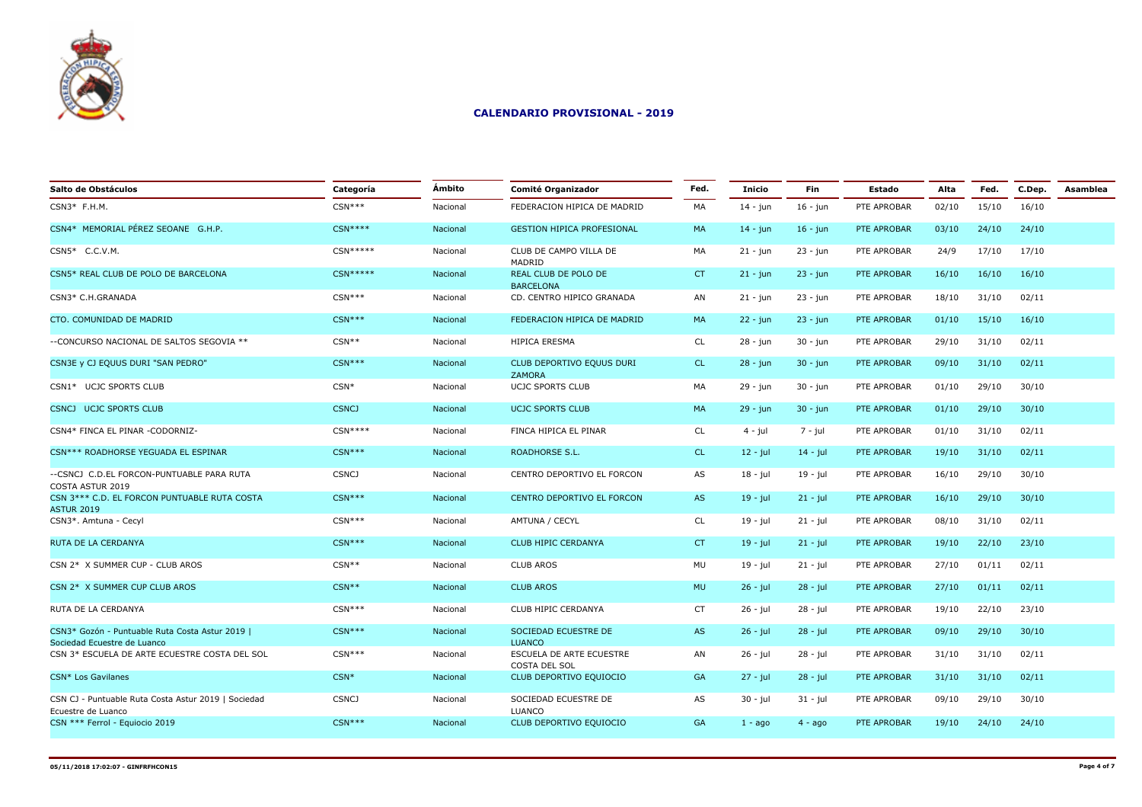

| Salto de Obstáculos                                                            | Categoría    | <b>Ambito</b> | <b>Comité Organizador</b>                  | Fed.      | <b>Inicio</b> | Fin         | <b>Estado</b> | Alta  | Fed.  | C.Dep. | Asamblea |
|--------------------------------------------------------------------------------|--------------|---------------|--------------------------------------------|-----------|---------------|-------------|---------------|-------|-------|--------|----------|
| $CSN3*$ F.H.M.                                                                 | $CSN***$     | Nacional      | FEDERACION HIPICA DE MADRID                | MA        | $14 - jun$    | $16 - jun$  | PTE APROBAR   | 02/10 | 15/10 | 16/10  |          |
| CSN4* MEMORIAL PÉREZ SEOANE G.H.P.                                             | $CSN***$     | Nacional      | <b>GESTION HIPICA PROFESIONAL</b>          | MA        | $14 - j$ un   | $16 - jun$  | PTE APROBAR   | 03/10 | 24/10 | 24/10  |          |
| CSN5* C.C.V.M.                                                                 | $CSN****$    | Nacional      | CLUB DE CAMPO VILLA DE<br>MADRID           | MA        | $21 - i$ un   | $23 - i$ un | PTE APROBAR   | 24/9  | 17/10 | 17/10  |          |
| CSN5* REAL CLUB DE POLO DE BARCELONA                                           | $CSN*****$   | Nacional      | REAL CLUB DE POLO DE<br><b>BARCELONA</b>   | CT.       | $21 - j$ un   | $23 - jun$  | PTE APROBAR   | 16/10 | 16/10 | 16/10  |          |
| CSN3* C.H.GRANADA                                                              | $CSN***$     | Nacional      | CD. CENTRO HIPICO GRANADA                  | AN        | $21 - jun$    | $23 - jun$  | PTE APROBAR   | 18/10 | 31/10 | 02/11  |          |
| CTO. COMUNIDAD DE MADRID                                                       | $CSN***$     | Nacional      | FEDERACION HIPICA DE MADRID                | MA        | $22 - j$ un   | $23 - j$ un | PTE APROBAR   | 01/10 | 15/10 | 16/10  |          |
| --CONCURSO NACIONAL DE SALTOS SEGOVIA **                                       | $CSN**$      | Nacional      | HIPICA ERESMA                              | <b>CL</b> | 28 - jun      | 30 - jun    | PTE APROBAR   | 29/10 | 31/10 | 02/11  |          |
| CSN3E y CJ EQUUS DURI "SAN PEDRO"                                              | $CSN***$     | Nacional      | CLUB DEPORTIVO EQUUS DURI<br><b>ZAMORA</b> | CL.       | $28 - jun$    | $30 - j$ un | PTE APROBAR   | 09/10 | 31/10 | 02/11  |          |
| CSN1* UCJC SPORTS CLUB                                                         | $CSN*$       | Nacional      | <b>UCJC SPORTS CLUB</b>                    | MA        | 29 - jun      | $30 - j$ un | PTE APROBAR   | 01/10 | 29/10 | 30/10  |          |
| CSNCJ UCJC SPORTS CLUB                                                         | <b>CSNCJ</b> | Nacional      | <b>UCJC SPORTS CLUB</b>                    | MA        | $29 - i$ un   | $30 - j$ un | PTE APROBAR   | 01/10 | 29/10 | 30/10  |          |
| CSN4* FINCA EL PINAR -CODORNIZ-                                                | $CSN***$     | Nacional      | FINCA HIPICA EL PINAR                      | CL        | $4 - iul$     | $7 - j$ ul  | PTE APROBAR   | 01/10 | 31/10 | 02/11  |          |
| CSN*** ROADHORSE YEGUADA EL ESPINAR                                            | $CSN***$     | Nacional      | <b>ROADHORSE S.L.</b>                      | CL.       | $12 - jul$    | $14 - jul$  | PTE APROBAR   | 19/10 | 31/10 | 02/11  |          |
| --CSNCJ C.D.EL FORCON-PUNTUABLE PARA RUTA<br>COSTA ASTUR 2019                  | <b>CSNCJ</b> | Nacional      | CENTRO DEPORTIVO EL FORCON                 | AS        | $18 - jul$    | 19 - jul    | PTE APROBAR   | 16/10 | 29/10 | 30/10  |          |
| CSN 3*** C.D. EL FORCON PUNTUABLE RUTA COSTA<br><b>ASTUR 2019</b>              | $CSN***$     | Nacional      | CENTRO DEPORTIVO EL FORCON                 | AS        | $19 - jul$    | $21 - jul$  | PTE APROBAR   | 16/10 | 29/10 | 30/10  |          |
| CSN3*. Amtuna - Cecyl                                                          | $CSN***$     | Nacional      | AMTUNA / CECYL                             | CL        | $19 - jul$    | $21 - jul$  | PTE APROBAR   | 08/10 | 31/10 | 02/11  |          |
| RUTA DE LA CERDANYA                                                            | $CSN***$     | Nacional      | <b>CLUB HIPIC CERDANYA</b>                 | CT        | $19 - jul$    | $21 - jul$  | PTE APROBAR   | 19/10 | 22/10 | 23/10  |          |
| CSN 2* X SUMMER CUP - CLUB AROS                                                | $CSN**$      | Nacional      | <b>CLUB AROS</b>                           | MU        | $19 - jul$    | 21 - jul    | PTE APROBAR   | 27/10 | 01/11 | 02/11  |          |
| CSN 2* X SUMMER CUP CLUB AROS                                                  | $CSN**$      | Nacional      | <b>CLUB AROS</b>                           | <b>MU</b> | $26 - jul$    | $28 - jul$  | PTE APROBAR   | 27/10 | 01/11 | 02/11  |          |
| RUTA DE LA CERDANYA                                                            | $CSN***$     | Nacional      | CLUB HIPIC CERDANYA                        | <b>CT</b> | 26 - jul      | 28 - jul    | PTE APROBAR   | 19/10 | 22/10 | 23/10  |          |
| CSN3* Gozón - Puntuable Ruta Costa Astur 2019  <br>Sociedad Ecuestre de Luanco | $CSN***$     | Nacional      | SOCIEDAD ECUESTRE DE<br><b>LUANCO</b>      | AS        | $26 - jul$    | $28 - jul$  | PTE APROBAR   | 09/10 | 29/10 | 30/10  |          |
| CSN 3* ESCUELA DE ARTE ECUESTRE COSTA DEL SOL                                  | $CSN***$     | Nacional      | ESCUELA DE ARTE ECUESTRE                   | AN        | 26 - jul      | 28 - jul    | PTE APROBAR   | 31/10 | 31/10 | 02/11  |          |
| CSN* Los Gavilanes                                                             | $CSN*$       | Nacional      | COSTA DEL SOL<br>CLUB DEPORTIVO EQUIOCIO   | <b>GA</b> | $27 - iul$    | $28 - jul$  | PTE APROBAR   | 31/10 | 31/10 | 02/11  |          |
| CSN CJ - Puntuable Ruta Costa Astur 2019   Sociedad                            | <b>CSNCJ</b> | Nacional      | SOCIEDAD ECUESTRE DE                       | AS        | $30 - jul$    | $31 - jul$  | PTE APROBAR   | 09/10 | 29/10 | 30/10  |          |
| Ecuestre de Luanco<br>CSN *** Ferrol - Equiocio 2019                           | $CSN***$     | Nacional      | <b>LUANCO</b><br>CLUB DEPORTIVO EQUIOCIO   | GA        | $1 - a$ go    | $4 - ago$   | PTE APROBAR   | 19/10 | 24/10 | 24/10  |          |
|                                                                                |              |               |                                            |           |               |             |               |       |       |        |          |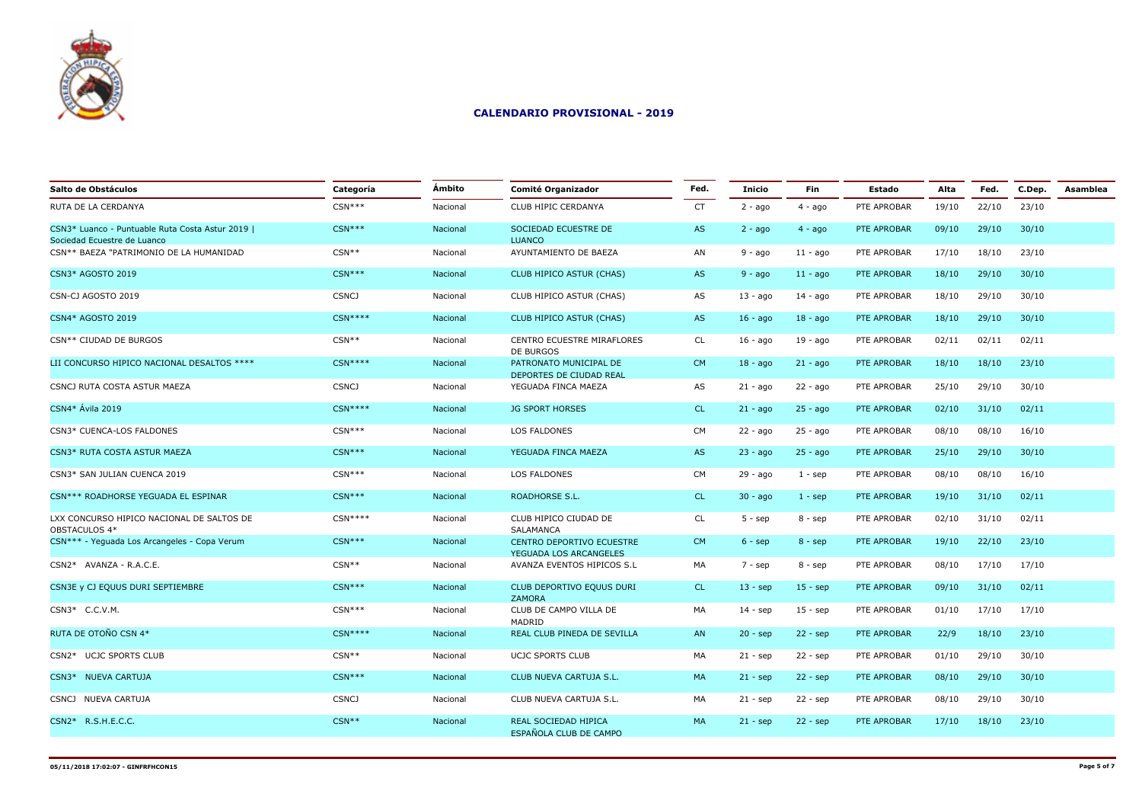

| Salto de Obstáculos                                                             | Categoría    | Ámbito   | <b>Comité Organizador</b>                           | Fed.      | <b>Inicio</b> | Fin         | Estado      | Alta  | Fed.  | C.Dep. | Asamblea |
|---------------------------------------------------------------------------------|--------------|----------|-----------------------------------------------------|-----------|---------------|-------------|-------------|-------|-------|--------|----------|
| RUTA DE LA CERDANYA                                                             | $CSN***$     | Nacional | CLUB HIPIC CERDANYA                                 | <b>CT</b> | $2 - ago$     | $4 - ago$   | PTE APROBAR | 19/10 | 22/10 | 23/10  |          |
| CSN3* Luanco - Puntuable Ruta Costa Astur 2019  <br>Sociedad Ecuestre de Luanco | $CSN***$     | Nacional | SOCIEDAD ECUESTRE DE<br><b>LUANCO</b>               | AS        | $2 - ago$     | $4 - ago$   | PTE APROBAR | 09/10 | 29/10 | 30/10  |          |
| CSN** BAEZA "PATRIMONIO DE LA HUMANIDAD                                         | $CSN**$      | Nacional | AYUNTAMIENTO DE BAEZA                               | AN        | $9 - aqo$     | $11 - a$ go | PTE APROBAR | 17/10 | 18/10 | 23/10  |          |
| <b>CSN3* AGOSTO 2019</b>                                                        | $CSN***$     | Nacional | CLUB HIPICO ASTUR (CHAS)                            | AS        | $9 - ago$     | $11 - a$ go | PTE APROBAR | 18/10 | 29/10 | 30/10  |          |
| CSN-CJ AGOSTO 2019                                                              | <b>CSNCJ</b> | Nacional | CLUB HIPICO ASTUR (CHAS)                            | AS        | $13 - a$ go   | 14 - ago    | PTE APROBAR | 18/10 | 29/10 | 30/10  |          |
| CSN4* AGOSTO 2019                                                               | $CSN***$     | Nacional | CLUB HIPICO ASTUR (CHAS)                            | AS        | $16 - a$ go   | $18 - a$ go | PTE APROBAR | 18/10 | 29/10 | 30/10  |          |
| CSN** CIUDAD DE BURGOS                                                          | $CSN**$      | Nacional | CENTRO ECUESTRE MIRAFLORES<br>DE BURGOS             | <b>CL</b> | $16 - a$ go   | 19 - ago    | PTE APROBAR | 02/11 | 02/11 | 02/11  |          |
| LII CONCURSO HIPICO NACIONAL DESALTOS ****                                      | $CSN***$     | Nacional | PATRONATO MUNICIPAL DE<br>DEPORTES DE CIUDAD REAL   | <b>CM</b> | $18 - aqo$    | $21 - a$ go | PTE APROBAR | 18/10 | 18/10 | 23/10  |          |
| CSNCJ RUTA COSTA ASTUR MAEZA                                                    | <b>CSNCJ</b> | Nacional | YEGUADA FINCA MAEZA                                 | AS        | $21 - ago$    | $22 - ago$  | PTE APROBAR | 25/10 | 29/10 | 30/10  |          |
| CSN4* Ávila 2019                                                                | $CSN***$     | Nacional | <b>JG SPORT HORSES</b>                              | <b>CL</b> | $21 - ago$    | $25 - ago$  | PTE APROBAR | 02/10 | 31/10 | 02/11  |          |
| CSN3* CUENCA-LOS FALDONES                                                       | $CSN***$     | Nacional | <b>LOS FALDONES</b>                                 | <b>CM</b> | $22 - ago$    | $25 - ago$  | PTE APROBAR | 08/10 | 08/10 | 16/10  |          |
| CSN3* RUTA COSTA ASTUR MAEZA                                                    | $CSN***$     | Nacional | YEGUADA FINCA MAEZA                                 | AS        | $23 - ago$    | $25 - ago$  | PTE APROBAR | 25/10 | 29/10 | 30/10  |          |
| CSN3* SAN JULIAN CUENCA 2019                                                    | $CSN***$     | Nacional | LOS FALDONES                                        | <b>CM</b> | $29 - ago$    | $1 - sep$   | PTE APROBAR | 08/10 | 08/10 | 16/10  |          |
| CSN*** ROADHORSE YEGUADA EL ESPINAR                                             | $CSN***$     | Nacional | <b>ROADHORSE S.L.</b>                               | <b>CL</b> | $30 - ago$    | $1 - sep$   | PTE APROBAR | 19/10 | 31/10 | 02/11  |          |
| LXX CONCURSO HIPICO NACIONAL DE SALTOS DE<br>OBSTACULOS 4*                      | $CSN***$     | Nacional | CLUB HIPICO CIUDAD DE<br><b>SALAMANCA</b>           | <b>CL</b> | $5 - sep$     | $8 -$ sep   | PTE APROBAR | 02/10 | 31/10 | 02/11  |          |
| CSN*** - Yeguada Los Arcangeles - Copa Verum                                    | $CSN***$     | Nacional | CENTRO DEPORTIVO ECUESTRE<br>YEGUADA LOS ARCANGELES | CM        | $6 - sep$     | $8 - sep$   | PTE APROBAR | 19/10 | 22/10 | 23/10  |          |
| CSN2* AVANZA - R.A.C.E.                                                         | $CSN**$      | Nacional | AVANZA EVENTOS HIPICOS S.L                          | MA        | $7 - sep$     | $8 - sep$   | PTE APROBAR | 08/10 | 17/10 | 17/10  |          |
| CSN3E y CJ EQUUS DURI SEPTIEMBRE                                                | $CSN***$     | Nacional | CLUB DEPORTIVO EQUUS DURI<br><b>ZAMORA</b>          | <b>CL</b> | $13 - sep$    | $15 -$ sep  | PTE APROBAR | 09/10 | 31/10 | 02/11  |          |
| CSN3* C.C.V.M.                                                                  | $CSN***$     | Nacional | CLUB DE CAMPO VILLA DE<br>MADRID                    | MA        | $14 - sep$    | $15 -$ sep  | PTE APROBAR | 01/10 | 17/10 | 17/10  |          |
| RUTA DE OTOÑO CSN 4*                                                            | $CSN***$     | Nacional | REAL CLUB PINEDA DE SEVILLA                         | <b>AN</b> | $20 - sep$    | $22 -$ sep  | PTE APROBAR | 22/9  | 18/10 | 23/10  |          |
| CSN2* UCJC SPORTS CLUB                                                          | $CSN**$      | Nacional | <b>UCJC SPORTS CLUB</b>                             | MA        | $21 - sep$    | $22 - sep$  | PTE APROBAR | 01/10 | 29/10 | 30/10  |          |
| CSN3* NUEVA CARTUJA                                                             | $CSN***$     | Nacional | CLUB NUEVA CARTUJA S.L.                             | <b>MA</b> | $21 - sep$    | $22 - sep$  | PTE APROBAR | 08/10 | 29/10 | 30/10  |          |
| CSNCJ NUEVA CARTUJA                                                             | <b>CSNCJ</b> | Nacional | CLUB NUEVA CARTUJA S.L.                             | MA        | $21 - sep$    | $22 - sep$  | PTE APROBAR | 08/10 | 29/10 | 30/10  |          |
| CSN2* R.S.H.E.C.C.                                                              | $CSN**$      | Nacional | REAL SOCIEDAD HIPICA<br>ESPAÑOLA CLUB DE CAMPO      | MA        | $21 - sep$    | $22 - sep$  | PTE APROBAR | 17/10 | 18/10 | 23/10  |          |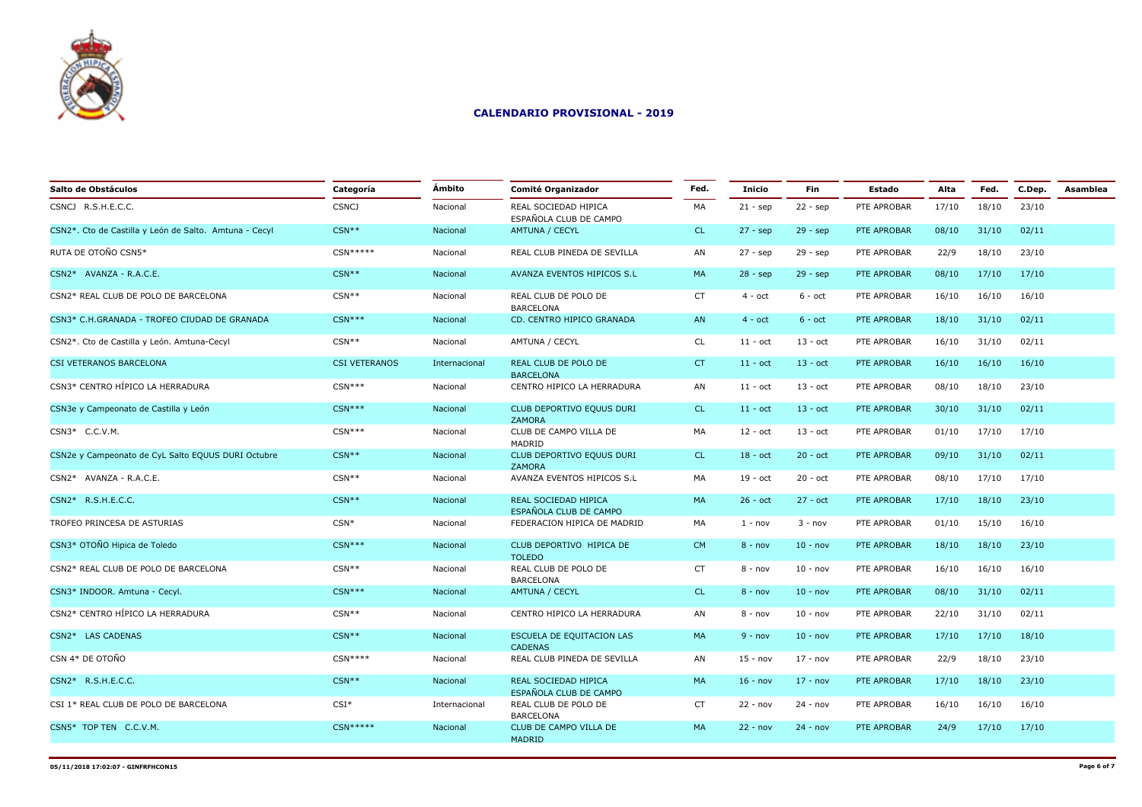

| Salto de Obstáculos                                    | Categoría            | Ámbito        | <b>Comité Organizador</b>                      | Fed.      | <b>Inicio</b>     | <b>Fin</b> | <b>Estado</b> | Alta  | Fed.  | C.Dep. | Asamblea |
|--------------------------------------------------------|----------------------|---------------|------------------------------------------------|-----------|-------------------|------------|---------------|-------|-------|--------|----------|
| CSNCJ R.S.H.E.C.C.                                     | <b>CSNCJ</b>         | Nacional      | REAL SOCIEDAD HIPICA<br>ESPAÑOLA CLUB DE CAMPO | MA        | $21 - sep$        | $22 - sep$ | PTE APROBAR   | 17/10 | 18/10 | 23/10  |          |
| CSN2*. Cto de Castilla y León de Salto. Amtuna - Cecyl | $CSN**$              | Nacional      | AMTUNA / CECYL                                 | CL.       | $27 - sep$        | $29 - sep$ | PTE APROBAR   | 08/10 | 31/10 | 02/11  |          |
| RUTA DE OTOÑO CSN5*                                    | $CSN*****$           | Nacional      | REAL CLUB PINEDA DE SEVILLA                    | AN        | $27 - sep$        | $29 - sep$ | PTE APROBAR   | 22/9  | 18/10 | 23/10  |          |
| CSN2* AVANZA - R.A.C.E.                                | $CSN**$              | Nacional      | AVANZA EVENTOS HIPICOS S.L                     | MA        | $28 - sep$        | $29 - sep$ | PTE APROBAR   | 08/10 | 17/10 | 17/10  |          |
| CSN2* REAL CLUB DE POLO DE BARCELONA                   | $CSN**$              | Nacional      | REAL CLUB DE POLO DE<br><b>BARCELONA</b>       | <b>CT</b> | $4 - oct$         | $6 - oct$  | PTE APROBAR   | 16/10 | 16/10 | 16/10  |          |
| CSN3* C.H.GRANADA - TROFEO CIUDAD DE GRANADA           | $CSN***$             | Nacional      | CD. CENTRO HIPICO GRANADA                      | AN        | $4 - oct$         | $6 - oct$  | PTE APROBAR   | 18/10 | 31/10 | 02/11  |          |
| CSN2*. Cto de Castilla y León. Amtuna-Cecyl            | $CSN**$              | Nacional      | AMTUNA / CECYL                                 | CL        | $11 - oct$        | $13 - oct$ | PTE APROBAR   | 16/10 | 31/10 | 02/11  |          |
| CSI VETERANOS BARCELONA                                | <b>CSI VETERANOS</b> | Internacional | REAL CLUB DE POLO DE<br><b>BARCELONA</b>       | <b>CT</b> | $11 - oct$        | $13 - oct$ | PTE APROBAR   | 16/10 | 16/10 | 16/10  |          |
| CSN3* CENTRO HÍPICO LA HERRADURA                       | $CSN***$             | Nacional      | CENTRO HIPICO LA HERRADURA                     | AN        | $11 - \text{oct}$ | $13 - oct$ | PTE APROBAR   | 08/10 | 18/10 | 23/10  |          |
| CSN3e y Campeonato de Castilla y León                  | $CSN***$             | Nacional      | CLUB DEPORTIVO EQUUS DURI<br><b>ZAMORA</b>     | <b>CL</b> | $11 - oct$        | $13 - oct$ | PTE APROBAR   | 30/10 | 31/10 | 02/11  |          |
| CSN3* C.C.V.M.                                         | $CSN***$             | Nacional      | CLUB DE CAMPO VILLA DE<br>MADRID               | MA        | $12 - oct$        | $13 - oct$ | PTE APROBAR   | 01/10 | 17/10 | 17/10  |          |
| CSN2e y Campeonato de CyL Salto EQUUS DURI Octubre     | $CSN**$              | Nacional      | CLUB DEPORTIVO EQUUS DURI<br><b>ZAMORA</b>     | <b>CL</b> | $18 - oct$        | $20 - oct$ | PTE APROBAR   | 09/10 | 31/10 | 02/11  |          |
| CSN2* AVANZA - R.A.C.E.                                | $CSN**$              | Nacional      | AVANZA EVENTOS HIPICOS S.L                     | MA        | $19 - oct$        | $20 - oct$ | PTE APROBAR   | 08/10 | 17/10 | 17/10  |          |
| CSN2* R.S.H.E.C.C.                                     | $CSN**$              | Nacional      | REAL SOCIEDAD HIPICA<br>ESPAÑOLA CLUB DE CAMPO | MA        | $26 - oct$        | $27 - oct$ | PTE APROBAR   | 17/10 | 18/10 | 23/10  |          |
| TROFEO PRINCESA DE ASTURIAS                            | $CSN*$               | Nacional      | FEDERACION HIPICA DE MADRID                    | MA        | $1 - nov$         | $3 - nov$  | PTE APROBAR   | 01/10 | 15/10 | 16/10  |          |
| CSN3* OTOÑO Hipica de Toledo                           | $CSN***$             | Nacional      | CLUB DEPORTIVO HIPICA DE<br><b>TOLEDO</b>      | <b>CM</b> | $8 - nov$         | $10 - nov$ | PTE APROBAR   | 18/10 | 18/10 | 23/10  |          |
| CSN2* REAL CLUB DE POLO DE BARCELONA                   | $CSN**$              | Nacional      | REAL CLUB DE POLO DE<br><b>BARCELONA</b>       | <b>CT</b> | $8 - nov$         | $10 - nov$ | PTE APROBAR   | 16/10 | 16/10 | 16/10  |          |
| CSN3* INDOOR. Amtuna - Cecyl.                          | $CSN***$             | Nacional      | <b>AMTUNA / CECYL</b>                          | <b>CL</b> | $8 - nov$         | $10 - nov$ | PTE APROBAR   | 08/10 | 31/10 | 02/11  |          |
| CSN2* CENTRO HÍPICO LA HERRADURA                       | $CSN**$              | Nacional      | CENTRO HIPICO LA HERRADURA                     | AN        | $8 - nov$         | $10 - nov$ | PTE APROBAR   | 22/10 | 31/10 | 02/11  |          |
| CSN2* LAS CADENAS                                      | $CSN**$              | Nacional      | ESCUELA DE EQUITACION LAS<br><b>CADENAS</b>    | MA        | $9 - nov$         | $10 - nov$ | PTE APROBAR   | 17/10 | 17/10 | 18/10  |          |
| CSN 4* DE OTOÑO                                        | $CSN***$             | Nacional      | REAL CLUB PINEDA DE SEVILLA                    | AN        | $15 - nov$        | $17 - nov$ | PTE APROBAR   | 22/9  | 18/10 | 23/10  |          |
| CSN2* R.S.H.E.C.C.                                     | $CSN**$              | Nacional      | REAL SOCIEDAD HIPICA<br>ESPAÑOLA CLUB DE CAMPO | MA        | $16 - nov$        | $17 - nov$ | PTE APROBAR   | 17/10 | 18/10 | 23/10  |          |
| CSI 1* REAL CLUB DE POLO DE BARCELONA                  | $CSI^*$              | Internacional | REAL CLUB DE POLO DE<br><b>BARCELONA</b>       | <b>CT</b> | $22 - nov$        | $24 - nov$ | PTE APROBAR   | 16/10 | 16/10 | 16/10  |          |
| CSN5* TOP TEN C.C.V.M.                                 | $CSN*****$           | Nacional      | CLUB DE CAMPO VILLA DE<br>MADRID               | MA        | $22 - nov$        | $24 - nov$ | PTE APROBAR   | 24/9  | 17/10 | 17/10  |          |
|                                                        |                      |               |                                                |           |                   |            |               |       |       |        |          |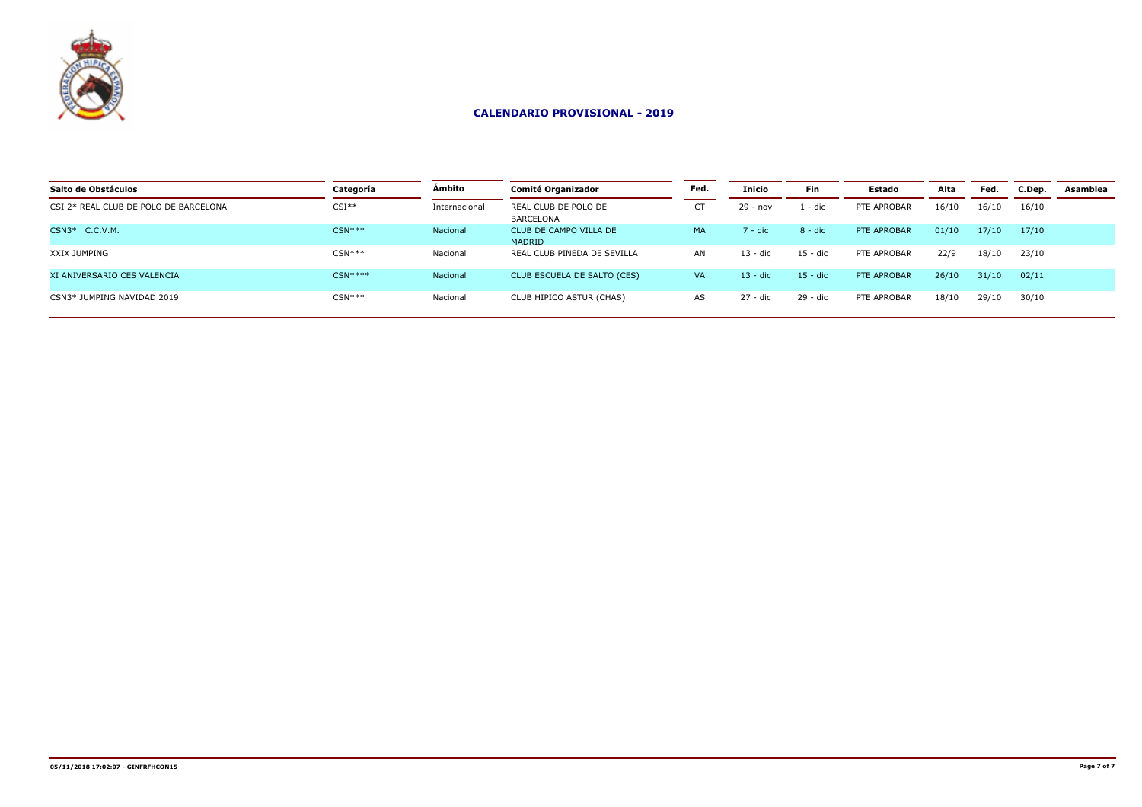

| Salto de Obstáculos                   | Categoría | Ámbito        | <b>Comité Organizador</b>         | Fed.      | Inicio     | <b>Fin</b> | <b>Estado</b> | Alta  | Fed.  | C.Dep. | Asamblea |
|---------------------------------------|-----------|---------------|-----------------------------------|-----------|------------|------------|---------------|-------|-------|--------|----------|
| CSI 2* REAL CLUB DE POLO DE BARCELONA | $CSI**$   | Internacional | REAL CLUB DE POLO DE<br>BARCELONA |           | $29 - nov$ | . - dic    | PTE APROBAR   | 16/10 | 16/10 | 16/10  |          |
| CSN3* C.C.V.M.                        | $CSN***$  | Nacional      | CLUB DE CAMPO VILLA DE<br>MADRID  | <b>MA</b> | ' - dic    | $8 - dic$  | PTE APROBAR   | 01/10 | 17/10 | 17/10  |          |
| XXIX JUMPING                          | $CSN***$  | Nacional      | REAL CLUB PINEDA DE SEVILLA       | AN        | 13 - dic   | $15 - dic$ | PTE APROBAR   | 22/9  | 18/10 | 23/10  |          |
| XI ANIVERSARIO CES VALENCIA           | $CSN***$  | Nacional      | CLUB ESCUELA DE SALTO (CES)       | VA.       | 13 - dic   | $15 - dic$ | PTE APROBAR   | 26/10 | 31/10 | 02/11  |          |
| CSN3* JUMPING NAVIDAD 2019            | $CSN***$  | Nacional      | CLUB HIPICO ASTUR (CHAS)          | AS        | $27 - dic$ | $29 - dic$ | PTE APROBAR   | 18/10 | 29/10 | 30/10  |          |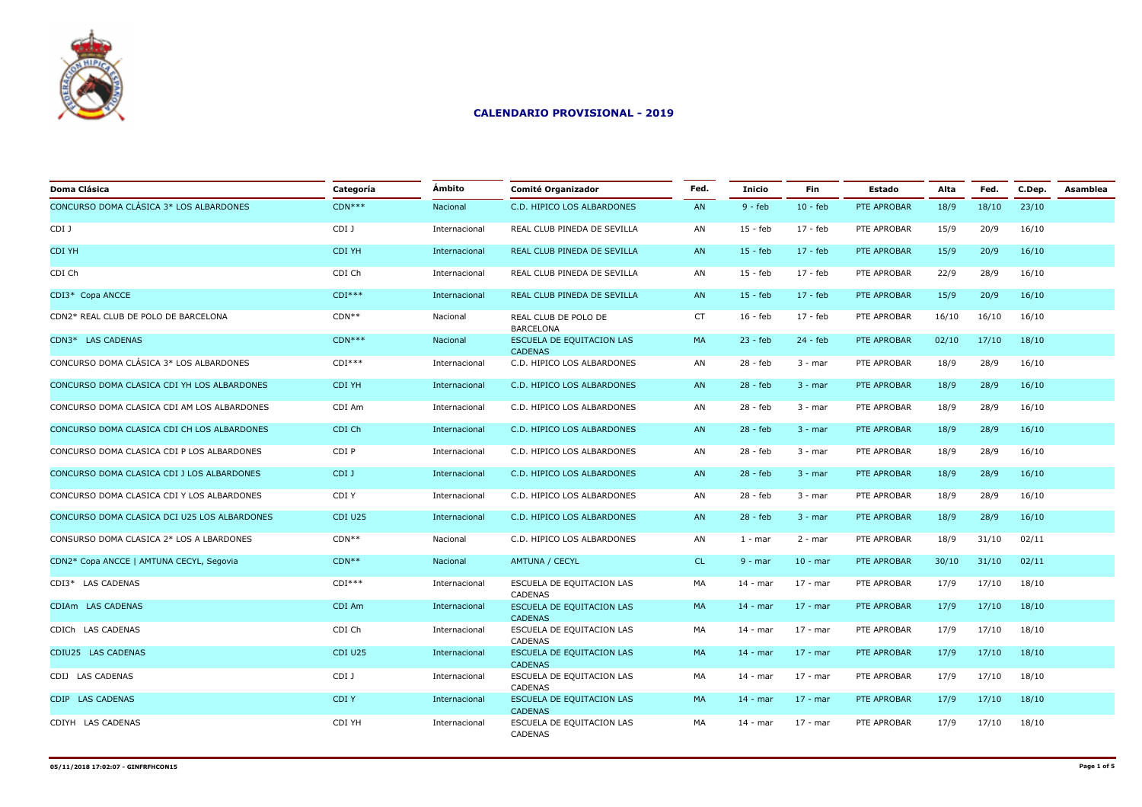

| Doma Clásica                                 | Categoría | Ámbito        | Comité Organizador                          | Fed.      | <b>Inicio</b> | <b>Fin</b> | <b>Estado</b> | Alta  | Fed.  | C.Dep. | Asamblea |
|----------------------------------------------|-----------|---------------|---------------------------------------------|-----------|---------------|------------|---------------|-------|-------|--------|----------|
| CONCURSO DOMA CLÁSICA 3* LOS ALBARDONES      | $CDN***$  | Nacional      | C.D. HIPICO LOS ALBARDONES                  | AN        | $9 - feb$     | $10 - feb$ | PTE APROBAR   | 18/9  | 18/10 | 23/10  |          |
| CDI J                                        | CDI J     | Internacional | REAL CLUB PINEDA DE SEVILLA                 | AN        | $15 - feb$    | 17 - feb   | PTE APROBAR   | 15/9  | 20/9  | 16/10  |          |
| <b>CDI YH</b>                                | CDI YH    | Internacional | REAL CLUB PINEDA DE SEVILLA                 | AN        | $15 - feb$    | $17 - feb$ | PTE APROBAR   | 15/9  | 20/9  | 16/10  |          |
| CDI Ch                                       | CDI Ch    | Internacional | REAL CLUB PINEDA DE SEVILLA                 | AN        | $15 - feb$    | $17 - feb$ | PTE APROBAR   | 22/9  | 28/9  | 16/10  |          |
| CDI3* Copa ANCCE                             | $CDI***$  | Internacional | REAL CLUB PINEDA DE SEVILLA                 | AN        | $15 - feb$    | $17 - feb$ | PTE APROBAR   | 15/9  | 20/9  | 16/10  |          |
| CDN2* REAL CLUB DE POLO DE BARCELONA         | $CDN**$   | Nacional      | REAL CLUB DE POLO DE<br><b>BARCELONA</b>    | <b>CT</b> | $16 - feb$    | $17 - feb$ | PTE APROBAR   | 16/10 | 16/10 | 16/10  |          |
| CDN3* LAS CADENAS                            | $CDN***$  | Nacional      | ESCUELA DE EQUITACION LAS<br><b>CADENAS</b> | MA        | $23 - feb$    | $24 - feb$ | PTE APROBAR   | 02/10 | 17/10 | 18/10  |          |
| CONCURSO DOMA CLÁSICA 3* LOS ALBARDONES      | $CDI***$  | Internacional | C.D. HIPICO LOS ALBARDONES                  | AN        | 28 - feb      | $3 - mar$  | PTE APROBAR   | 18/9  | 28/9  | 16/10  |          |
| CONCURSO DOMA CLASICA CDI YH LOS ALBARDONES  | CDI YH    | Internacional | C.D. HIPICO LOS ALBARDONES                  | AN        | $28 - feb$    | $3 - mar$  | PTE APROBAR   | 18/9  | 28/9  | 16/10  |          |
| CONCURSO DOMA CLASICA CDI AM LOS ALBARDONES  | CDI Am    | Internacional | C.D. HIPICO LOS ALBARDONES                  | AN        | 28 - feb      | $3 - mar$  | PTE APROBAR   | 18/9  | 28/9  | 16/10  |          |
| CONCURSO DOMA CLASICA CDI CH LOS ALBARDONES  | CDI Ch    | Internacional | C.D. HIPICO LOS ALBARDONES                  | AN        | $28 - feb$    | $3 - mar$  | PTE APROBAR   | 18/9  | 28/9  | 16/10  |          |
| CONCURSO DOMA CLASICA CDI P LOS ALBARDONES   | CDI P     | Internacional | C.D. HIPICO LOS ALBARDONES                  | AN        | 28 - feb      | $3 - mar$  | PTE APROBAR   | 18/9  | 28/9  | 16/10  |          |
| CONCURSO DOMA CLASICA CDI J LOS ALBARDONES   | CDI J     | Internacional | C.D. HIPICO LOS ALBARDONES                  | AN        | $28 - feb$    | $3 - mar$  | PTE APROBAR   | 18/9  | 28/9  | 16/10  |          |
| CONCURSO DOMA CLASICA CDI Y LOS ALBARDONES   | CDI Y     | Internacional | C.D. HIPICO LOS ALBARDONES                  | AN        | $28 - feb$    | $3 - mar$  | PTE APROBAR   | 18/9  | 28/9  | 16/10  |          |
| CONCURSO DOMA CLASICA DCI U25 LOS ALBARDONES | CDI U25   | Internacional | C.D. HIPICO LOS ALBARDONES                  | AN        | $28 - feb$    | $3 - mar$  | PTE APROBAR   | 18/9  | 28/9  | 16/10  |          |
| CONSURSO DOMA CLASICA 2* LOS A LBARDONES     | $CDN**$   | Nacional      | C.D. HIPICO LOS ALBARDONES                  | AN        | $1 - mar$     | $2 - mar$  | PTE APROBAR   | 18/9  | 31/10 | 02/11  |          |
| CDN2* Copa ANCCE   AMTUNA CECYL, Segovia     | $CDN**$   | Nacional      | <b>AMTUNA / CECYL</b>                       | CL.       | $9 - mar$     | $10 - mar$ | PTE APROBAR   | 30/10 | 31/10 | 02/11  |          |
| CDI3* LAS CADENAS                            | $CDI***$  | Internacional | ESCUELA DE EQUITACION LAS<br><b>CADENAS</b> | MA        | $14 - mar$    | $17 - mar$ | PTE APROBAR   | 17/9  | 17/10 | 18/10  |          |
| CDIAm LAS CADENAS                            | CDI Am    | Internacional | ESCUELA DE EQUITACION LAS<br><b>CADENAS</b> | MA        | $14 - mar$    | $17 - mar$ | PTE APROBAR   | 17/9  | 17/10 | 18/10  |          |
| CDICh LAS CADENAS                            | CDI Ch    | Internacional | ESCUELA DE EQUITACION LAS<br>CADENAS        | MA        | $14 - mar$    | $17 - mar$ | PTE APROBAR   | 17/9  | 17/10 | 18/10  |          |
| CDIU25 LAS CADENAS                           | CDI U25   | Internacional | ESCUELA DE EQUITACION LAS<br><b>CADENAS</b> | MA        | $14 - mar$    | $17 - mar$ | PTE APROBAR   | 17/9  | 17/10 | 18/10  |          |
| CDIJ LAS CADENAS                             | CDI J     | Internacional | ESCUELA DE EQUITACION LAS<br>CADENAS        | MA        | $14 - mar$    | $17 - mar$ | PTE APROBAR   | 17/9  | 17/10 | 18/10  |          |
| CDIP LAS CADENAS                             | CDI Y     | Internacional | ESCUELA DE EQUITACION LAS<br><b>CADENAS</b> | MA        | $14 - mar$    | $17 - mar$ | PTE APROBAR   | 17/9  | 17/10 | 18/10  |          |
| CDIYH LAS CADENAS                            | CDI YH    | Internacional | ESCUELA DE EQUITACION LAS<br><b>CADENAS</b> | MA        | $14 - mar$    | 17 - mar   | PTE APROBAR   | 17/9  | 17/10 | 18/10  |          |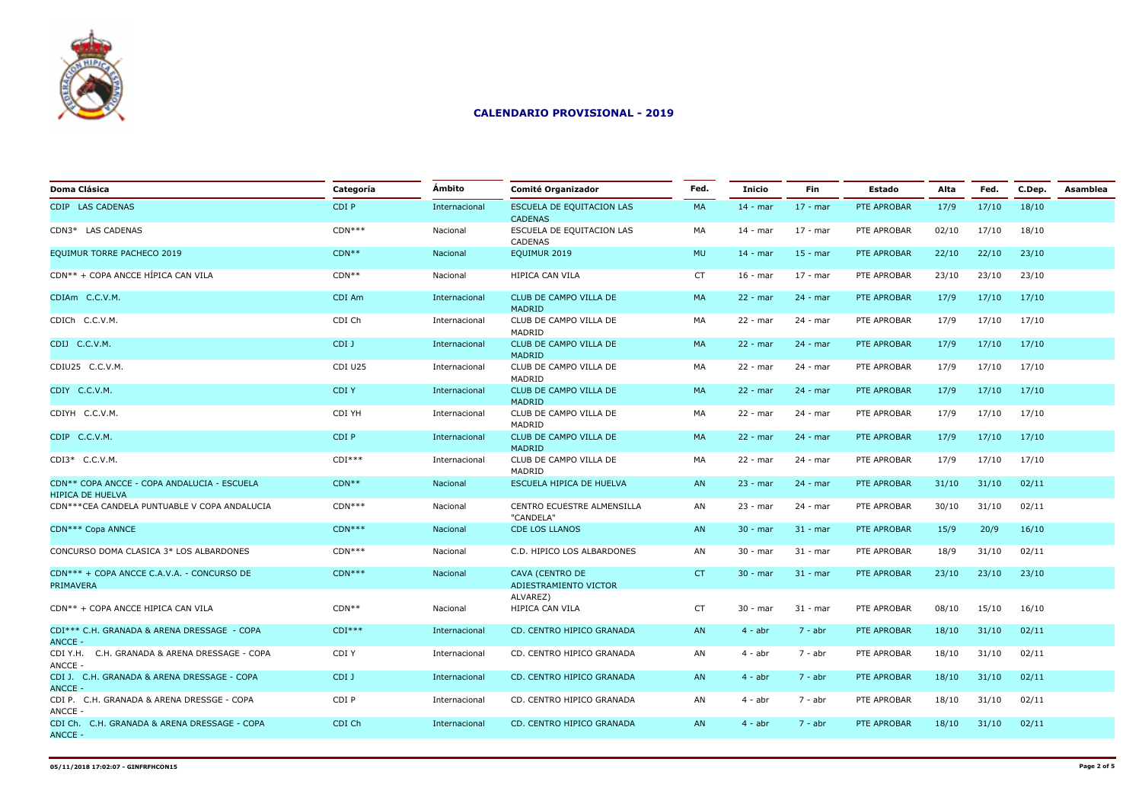

| <b>Doma Clásica</b>                                                    | Categoría | Ámbito        | Comité Organizador                              | Fed.      | Inicio     | Fin        | Estado      | Alta  | Fed.  | C.Dep. | Asamblea |
|------------------------------------------------------------------------|-----------|---------------|-------------------------------------------------|-----------|------------|------------|-------------|-------|-------|--------|----------|
| CDIP LAS CADENAS                                                       | CDI P     | Internacional | ESCUELA DE EQUITACION LAS<br><b>CADENAS</b>     | MA        | $14 - mar$ | $17 - mar$ | PTE APROBAR | 17/9  | 17/10 | 18/10  |          |
| CDN3* LAS CADENAS                                                      | $CDN***$  | Nacional      | ESCUELA DE EQUITACION LAS<br>CADENAS            | MA        | $14 - mar$ | 17 - mar   | PTE APROBAR | 02/10 | 17/10 | 18/10  |          |
| EQUIMUR TORRE PACHECO 2019                                             | $CDN**$   | Nacional      | EQUIMUR 2019                                    | <b>MU</b> | $14 - mar$ | $15 - mar$ | PTE APROBAR | 22/10 | 22/10 | 23/10  |          |
| CDN** + COPA ANCCE HÍPICA CAN VILA                                     | $CDN**$   | Nacional      | HIPICA CAN VILA                                 | <b>CT</b> | $16 - mar$ | $17 - mar$ | PTE APROBAR | 23/10 | 23/10 | 23/10  |          |
| CDIAm C.C.V.M.                                                         | CDI Am    | Internacional | CLUB DE CAMPO VILLA DE<br>MADRID                | MA        | $22 - mar$ | 24 - mar   | PTE APROBAR | 17/9  | 17/10 | 17/10  |          |
| CDICh C.C.V.M.                                                         | CDI Ch    | Internacional | CLUB DE CAMPO VILLA DE<br>MADRID                | MA        | $22 - mar$ | 24 - mar   | PTE APROBAR | 17/9  | 17/10 | 17/10  |          |
| CDIJ C.C.V.M.                                                          | CDI J     | Internacional | CLUB DE CAMPO VILLA DE<br>MADRID                | MA        | $22 - mar$ | $24 - mar$ | PTE APROBAR | 17/9  | 17/10 | 17/10  |          |
| CDIU25 C.C.V.M.                                                        | CDI U25   | Internacional | CLUB DE CAMPO VILLA DE<br>MADRID                | MA        | $22 - mar$ | 24 - mar   | PTE APROBAR | 17/9  | 17/10 | 17/10  |          |
| CDIY C.C.V.M.                                                          | CDI Y     | Internacional | CLUB DE CAMPO VILLA DE<br>MADRID                | <b>MA</b> | $22 - mar$ | $24 - mar$ | PTE APROBAR | 17/9  | 17/10 | 17/10  |          |
| CDIYH C.C.V.M.                                                         | CDI YH    | Internacional | CLUB DE CAMPO VILLA DE<br>MADRID                | МA        | $22 - mar$ | 24 - mar   | PTE APROBAR | 17/9  | 17/10 | 17/10  |          |
| CDIP C.C.V.M.                                                          | CDI P     | Internacional | CLUB DE CAMPO VILLA DE<br>MADRID                | <b>MA</b> | $22 - mar$ | $24 - mar$ | PTE APROBAR | 17/9  | 17/10 | 17/10  |          |
| CDI3* C.C.V.M.                                                         | $CDI***$  | Internacional | CLUB DE CAMPO VILLA DE<br>MADRID                | МA        | $22 - mar$ | 24 - mar   | PTE APROBAR | 17/9  | 17/10 | 17/10  |          |
| CDN** COPA ANCCE - COPA ANDALUCIA - ESCUELA<br><b>HIPICA DE HUELVA</b> | $CDN**$   | Nacional      | ESCUELA HIPICA DE HUELVA                        | AN        | $23 - mar$ | $24 - mar$ | PTE APROBAR | 31/10 | 31/10 | 02/11  |          |
| CDN***CEA CANDELA PUNTUABLE V COPA ANDALUCIA                           | $CDN***$  | Nacional      | CENTRO ECUESTRE ALMENSILLA<br>"CANDELA"         | AN        | $23 - mar$ | 24 - mar   | PTE APROBAR | 30/10 | 31/10 | 02/11  |          |
| CDN*** Copa ANNCE                                                      | $CDN***$  | Nacional      | <b>CDE LOS LLANOS</b>                           | AN        | $30 - mar$ | $31 - mar$ | PTE APROBAR | 15/9  | 20/9  | 16/10  |          |
| CONCURSO DOMA CLASICA 3* LOS ALBARDONES                                | $CDN***$  | Nacional      | C.D. HIPICO LOS ALBARDONES                      | AN        | $30 - mar$ | $31 - mar$ | PTE APROBAR | 18/9  | 31/10 | 02/11  |          |
| CDN*** + COPA ANCCE C.A.V.A. - CONCURSO DE<br>PRIMAVERA                | $CDN***$  | Nacional      | <b>CAVA (CENTRO DE</b><br>ADIESTRAMIENTO VICTOR | CT        | $30 - mar$ | $31 - mar$ | PTE APROBAR | 23/10 | 23/10 | 23/10  |          |
| CDN** + COPA ANCCE HIPICA CAN VILA                                     | $CDN**$   | Nacional      | ALVAREZ)<br>HIPICA CAN VILA                     | CT        | $30 - mar$ | $31 - mar$ | PTE APROBAR | 08/10 | 15/10 | 16/10  |          |
| CDI*** C.H. GRANADA & ARENA DRESSAGE - COPA                            | $CDI***$  | Internacional | CD. CENTRO HIPICO GRANADA                       | AN        | $4 - abr$  | $7 - abr$  | PTE APROBAR | 18/10 | 31/10 | 02/11  |          |
| ANCCE -<br>CDI Y.H. C.H. GRANADA & ARENA DRESSAGE - COPA               | CDI Y     | Internacional | CD. CENTRO HIPICO GRANADA                       | AN        | $4 - abr$  | 7 - abr    | PTE APROBAR | 18/10 | 31/10 | 02/11  |          |
| ANCCE -<br>CDI J. C.H. GRANADA & ARENA DRESSAGE - COPA                 | CDI J     | Internacional | CD. CENTRO HIPICO GRANADA                       | AN        | $4 - abr$  | $7 - abr$  | PTE APROBAR | 18/10 | 31/10 | 02/11  |          |
| ANCCE -<br>CDI P. C.H. GRANADA & ARENA DRESSGE - COPA                  | CDI P     | Internacional | CD. CENTRO HIPICO GRANADA                       | AN        | $4 - abr$  | 7 - abr    | PTE APROBAR | 18/10 | 31/10 | 02/11  |          |
| ANCCE -<br>CDI Ch. C.H. GRANADA & ARENA DRESSAGE - COPA                | CDI Ch    | Internacional | CD. CENTRO HIPICO GRANADA                       | AN        | $4 - abr$  | 7 - abr    | PTE APROBAR | 18/10 | 31/10 | 02/11  |          |
| <b>ANCCE -</b>                                                         |           |               |                                                 |           |            |            |             |       |       |        |          |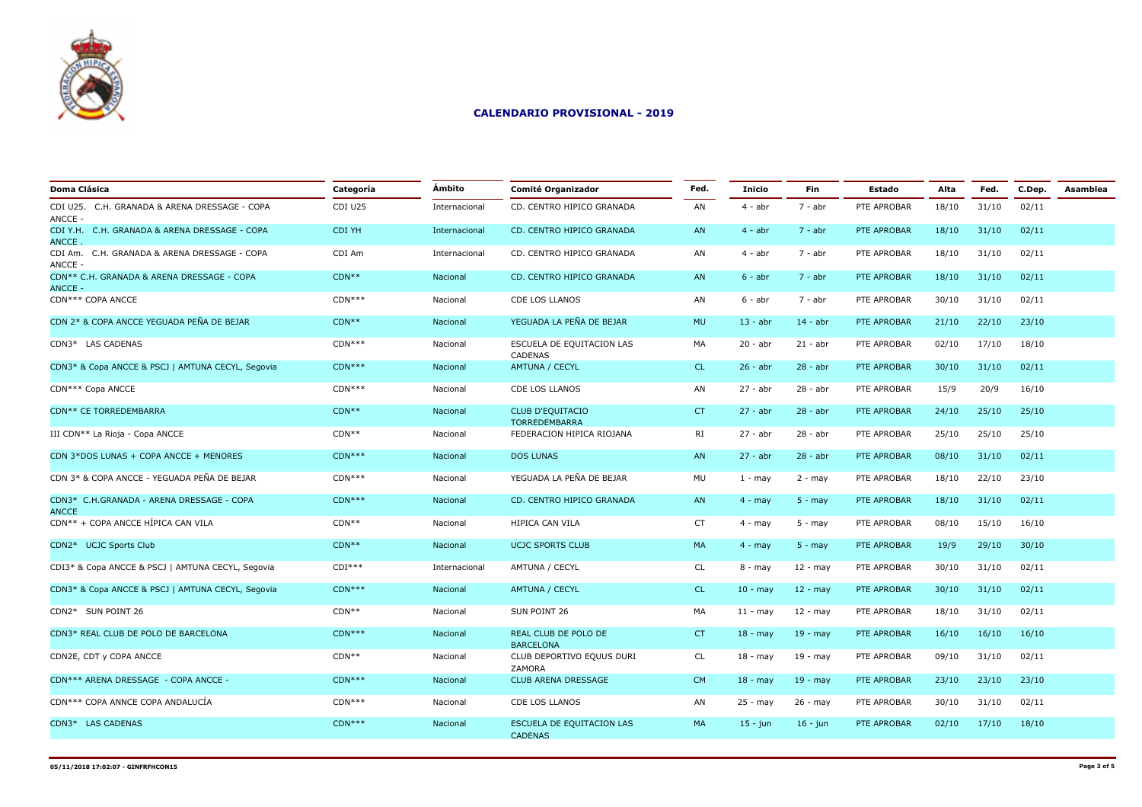

| <b>Doma Clásica</b>                                      | Categoría | Ámbito        | <b>Comité Organizador</b>                       | Fed.      | <b>Inicio</b>     | <b>Fin</b>  | Estado      | Alta  | Fed.  | C.Dep. | Asamblea |
|----------------------------------------------------------|-----------|---------------|-------------------------------------------------|-----------|-------------------|-------------|-------------|-------|-------|--------|----------|
| CDI U25. C.H. GRANADA & ARENA DRESSAGE - COPA<br>ANCCE - | CDI U25   | Internacional | CD. CENTRO HIPICO GRANADA                       | AN        | $4 - abr$         | $7 - abr$   | PTE APROBAR | 18/10 | 31/10 | 02/11  |          |
| CDI Y.H. C.H. GRANADA & ARENA DRESSAGE - COPA<br>ANCCE.  | CDI YH    | Internacional | CD. CENTRO HIPICO GRANADA                       | AN        | $4 - abr$         | $7 - abr$   | PTE APROBAR | 18/10 | 31/10 | 02/11  |          |
| CDI Am. C.H. GRANADA & ARENA DRESSAGE - COPA<br>ANCCE -  | CDI Am    | Internacional | CD. CENTRO HIPICO GRANADA                       | AN        | $4 - abr$         | 7 - abr     | PTE APROBAR | 18/10 | 31/10 | 02/11  |          |
| CDN** C.H. GRANADA & ARENA DRESSAGE - COPA<br>ANCCE -    | $CDN**$   | Nacional      | CD. CENTRO HIPICO GRANADA                       | AN        | $6 - abr$         | $7 - abr$   | PTE APROBAR | 18/10 | 31/10 | 02/11  |          |
| CDN*** COPA ANCCE                                        | $CDN***$  | Nacional      | CDE LOS LLANOS                                  | AN        | $6 - abr$         | $7 - abr$   | PTE APROBAR | 30/10 | 31/10 | 02/11  |          |
| CDN 2* & COPA ANCCE YEGUADA PEÑA DE BEJAR                | $CDN**$   | Nacional      | YEGUADA LA PEÑA DE BEJAR                        | <b>MU</b> | $13 - abr$        | $14 - abr$  | PTE APROBAR | 21/10 | 22/10 | 23/10  |          |
| CDN3* LAS CADENAS                                        | $CDN***$  | Nacional      | ESCUELA DE EQUITACION LAS<br>CADENAS            | MA        | $20 - abr$        | $21 - abr$  | PTE APROBAR | 02/10 | 17/10 | 18/10  |          |
| CDN3* & Copa ANCCE & PSCJ   AMTUNA CECYL, Segovia        | $CDN***$  | Nacional      | AMTUNA / CECYL                                  | CL.       | $26 - abr$        | $28 - abr$  | PTE APROBAR | 30/10 | 31/10 | 02/11  |          |
| CDN*** Copa ANCCE                                        | $CDN***$  | Nacional      | <b>CDE LOS LLANOS</b>                           | AN        | $27 - abr$        | $28 - abr$  | PTE APROBAR | 15/9  | 20/9  | 16/10  |          |
| CDN** CE TORREDEMBARRA                                   | $CDN**$   | Nacional      | <b>CLUB D'EQUITACIO</b><br><b>TORREDEMBARRA</b> | CT        | $27 - abr$        | $28 - abr$  | PTE APROBAR | 24/10 | 25/10 | 25/10  |          |
| III CDN** La Rioja - Copa ANCCE                          | $CDN**$   | Nacional      | FEDERACION HIPICA RIOJANA                       | RI        | $27 - abr$        | $28 - abr$  | PTE APROBAR | 25/10 | 25/10 | 25/10  |          |
| CDN 3*DOS LUNAS + COPA ANCCE + MENORES                   | $CDN***$  | Nacional      | <b>DOS LUNAS</b>                                | AN        | $27 - abr$        | $28 - abr$  | PTE APROBAR | 08/10 | 31/10 | 02/11  |          |
| CDN 3* & COPA ANCCE - YEGUADA PEÑA DE BEJAR              | $CDN***$  | Nacional      | YEGUADA LA PEÑA DE BEJAR                        | MU        | $1 - may$         | $2 - may$   | PTE APROBAR | 18/10 | 22/10 | 23/10  |          |
| CDN3* C.H.GRANADA - ARENA DRESSAGE - COPA<br>ANCCE       | $CDN***$  | Nacional      | CD. CENTRO HIPICO GRANADA                       | AN        | $4 - may$         | $5 - may$   | PTE APROBAR | 18/10 | 31/10 | 02/11  |          |
| CDN** + COPA ANCCE HÍPICA CAN VILA                       | $CDN**$   | Nacional      | HIPICA CAN VILA                                 | <b>CT</b> | $4 - may$         | $5 - may$   | PTE APROBAR | 08/10 | 15/10 | 16/10  |          |
| CDN2* UCJC Sports Club                                   | $CDN**$   | Nacional      | <b>UCJC SPORTS CLUB</b>                         | MA        | $4 - may$         | $5 - may$   | PTE APROBAR | 19/9  | 29/10 | 30/10  |          |
| CDI3* & Copa ANCCE & PSCJ   AMTUNA CECYL, Segovia        | $CDI***$  | Internacional | AMTUNA / CECYL                                  | <b>CL</b> | $8 - may$         | $12 - may$  | PTE APROBAR | 30/10 | 31/10 | 02/11  |          |
| CDN3* & Copa ANCCE & PSCJ   AMTUNA CECYL, Segovia        | $CDN***$  | Nacional      | <b>AMTUNA / CECYL</b>                           | CL.       | $10 - \text{may}$ | $12 - may$  | PTE APROBAR | 30/10 | 31/10 | 02/11  |          |
| CDN2* SUN POINT 26                                       | $CDN**$   | Nacional      | SUN POINT 26                                    | MA        | $11 -$ may        | $12 - may$  | PTE APROBAR | 18/10 | 31/10 | 02/11  |          |
| CDN3* REAL CLUB DE POLO DE BARCELONA                     | $CDN***$  | Nacional      | REAL CLUB DE POLO DE<br><b>BARCELONA</b>        | CT.       | $18 - may$        | $19 - may$  | PTE APROBAR | 16/10 | 16/10 | 16/10  |          |
| CDN2E, CDT y COPA ANCCE                                  | $CDN**$   | Nacional      | CLUB DEPORTIVO EQUUS DURI<br><b>ZAMORA</b>      | CL        | $18 - may$        | 19 - may    | PTE APROBAR | 09/10 | 31/10 | 02/11  |          |
| CDN*** ARENA DRESSAGE - COPA ANCCE -                     | $CDN***$  | Nacional      | <b>CLUB ARENA DRESSAGE</b>                      | CM        | $18 - may$        | $19 - may$  | PTE APROBAR | 23/10 | 23/10 | 23/10  |          |
| CDN*** COPA ANNCE COPA ANDALUCÍA                         | $CDN***$  | Nacional      | CDE LOS LLANOS                                  | AN        | 25 - may          | 26 - may    | PTE APROBAR | 30/10 | 31/10 | 02/11  |          |
| CDN3* LAS CADENAS                                        | $CDN***$  | Nacional      | ESCUELA DE EQUITACION LAS<br><b>CADENAS</b>     | MA        | $15 - j$ un       | $16 - j$ un | PTE APROBAR | 02/10 | 17/10 | 18/10  |          |
|                                                          |           |               |                                                 |           |                   |             |             |       |       |        |          |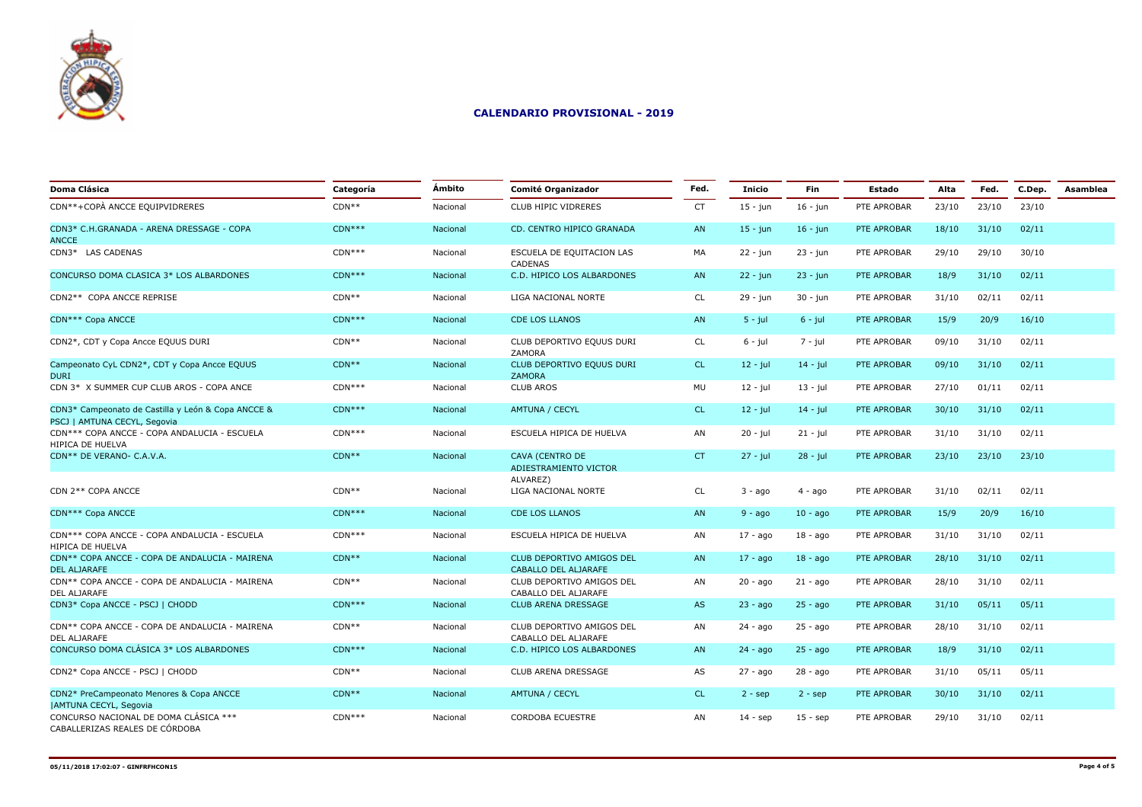

| Doma Clásica                                                                       | Categoría | Ámbito          | <b>Comité Organizador</b>                                | Fed.      | Inicio      | Fin         | Estado      | Alta  | Fed.  | C.Dep. | Asamblea |
|------------------------------------------------------------------------------------|-----------|-----------------|----------------------------------------------------------|-----------|-------------|-------------|-------------|-------|-------|--------|----------|
| CDN**+COPÀ ANCCE EQUIPVIDRERES                                                     | $CDN**$   | Nacional        | <b>CLUB HIPIC VIDRERES</b>                               | <b>CT</b> | $15 - jun$  | $16 - jun$  | PTE APROBAR | 23/10 | 23/10 | 23/10  |          |
| CDN3* C.H.GRANADA - ARENA DRESSAGE - COPA<br><b>ANCCE</b>                          | $CDN***$  | Nacional        | CD. CENTRO HIPICO GRANADA                                | AN        | $15 - j$ un | $16 - j$ un | PTE APROBAR | 18/10 | 31/10 | 02/11  |          |
| CDN3* LAS CADENAS                                                                  | $CDN***$  | Nacional        | ESCUELA DE EQUITACION LAS<br>CADENAS                     | MA        | 22 - jun    | $23 - jun$  | PTE APROBAR | 29/10 | 29/10 | 30/10  |          |
| CONCURSO DOMA CLASICA 3* LOS ALBARDONES                                            | $CDN***$  | Nacional        | C.D. HIPICO LOS ALBARDONES                               | AN        | $22 - j$ un | $23 - jun$  | PTE APROBAR | 18/9  | 31/10 | 02/11  |          |
| CDN2** COPA ANCCE REPRISE                                                          | $CDN**$   | Nacional        | LIGA NACIONAL NORTE                                      | CL        | 29 - jun    | $30 - i$ un | PTE APROBAR | 31/10 | 02/11 | 02/11  |          |
| CDN*** Copa ANCCE                                                                  | $CDN***$  | <b>Nacional</b> | <b>CDE LOS LLANOS</b>                                    | AN        | $5 - jul$   | $6 - jul$   | PTE APROBAR | 15/9  | 20/9  | 16/10  |          |
| CDN2*, CDT y Copa Ancce EQUUS DURI                                                 | $CDN**$   | Nacional        | CLUB DEPORTIVO EQUUS DURI<br>ZAMORA                      | <b>CL</b> | $6 - j$ ul  | 7 - jul     | PTE APROBAR | 09/10 | 31/10 | 02/11  |          |
| Campeonato CyL CDN2*, CDT y Copa Ancce EQUUS<br><b>DURI</b>                        | $CDN**$   | Nacional        | CLUB DEPORTIVO EQUUS DURI<br><b>ZAMORA</b>               | CL.       | $12 - jul$  | $14 - jul$  | PTE APROBAR | 09/10 | 31/10 | 02/11  |          |
| CDN 3* X SUMMER CUP CLUB AROS - COPA ANCE                                          | $CDN***$  | Nacional        | <b>CLUB AROS</b>                                         | MU        | $12 - jul$  | $13 - iul$  | PTE APROBAR | 27/10 | 01/11 | 02/11  |          |
| CDN3* Campeonato de Castilla y León & Copa ANCCE &<br>PSCJ   AMTUNA CECYL, Segovia | $CDN***$  | Nacional        | AMTUNA / CECYL                                           | <b>CL</b> | $12 - jul$  | $14 - jul$  | PTE APROBAR | 30/10 | 31/10 | 02/11  |          |
| CDN*** COPA ANCCE - COPA ANDALUCIA - ESCUELA<br>HIPICA DE HUELVA                   | $CDN***$  | Nacional        | ESCUELA HIPICA DE HUELVA                                 | AN        | $20 - j$ ul | $21 - jul$  | PTE APROBAR | 31/10 | 31/10 | 02/11  |          |
| CDN** DE VERANO- C.A.V.A.                                                          | $CDN**$   | Nacional        | CAVA (CENTRO DE<br>ADIESTRAMIENTO VICTOR                 | CT        | $27 - jul$  | $28 - jul$  | PTE APROBAR | 23/10 | 23/10 | 23/10  |          |
| CDN 2** COPA ANCCE                                                                 | $CDN**$   | Nacional        | ALVAREZ)<br>LIGA NACIONAL NORTE                          | CL        | $3 - a$ go  | $4 - a$ go  | PTE APROBAR | 31/10 | 02/11 | 02/11  |          |
| CDN*** Copa ANCCE                                                                  | $CDN***$  | Nacional        | <b>CDE LOS LLANOS</b>                                    | AN        | $9 - ago$   | $10 - ago$  | PTE APROBAR | 15/9  | 20/9  | 16/10  |          |
| CDN*** COPA ANCCE - COPA ANDALUCIA - ESCUELA<br>HIPICA DE HUELVA                   | $CDN***$  | Nacional        | ESCUELA HIPICA DE HUELVA                                 | AN        | $17 - a$ go | $18 - a$ go | PTE APROBAR | 31/10 | 31/10 | 02/11  |          |
| CDN** COPA ANCCE - COPA DE ANDALUCIA - MAIRENA<br><b>DEL ALIARAFE</b>              | $CDN**$   | Nacional        | CLUB DEPORTIVO AMIGOS DEL<br><b>CABALLO DEL ALJARAFE</b> | AN        | $17 - a$ go | $18 - a$ go | PTE APROBAR | 28/10 | 31/10 | 02/11  |          |
| CDN** COPA ANCCE - COPA DE ANDALUCIA - MAIRENA<br>DEL ALJARAFE                     | $CDN**$   | Nacional        | CLUB DEPORTIVO AMIGOS DEL<br>CABALLO DEL ALJARAFE        | AN        | $20 - ago$  | $21 - a$ go | PTE APROBAR | 28/10 | 31/10 | 02/11  |          |
| CDN3* Copa ANCCE - PSCJ   CHODD                                                    | $CDN***$  | Nacional        | <b>CLUB ARENA DRESSAGE</b>                               | AS        | $23 - ago$  | $25 - ago$  | PTE APROBAR | 31/10 | 05/11 | 05/11  |          |
| CDN** COPA ANCCE - COPA DE ANDALUCIA - MAIRENA<br><b>DEL ALJARAFE</b>              | $CDN**$   | Nacional        | CLUB DEPORTIVO AMIGOS DEL<br>CABALLO DEL ALJARAFE        | AN        | $24 - ago$  | $25 - ago$  | PTE APROBAR | 28/10 | 31/10 | 02/11  |          |
| CONCURSO DOMA CLÁSICA 3* LOS ALBARDONES                                            | $CDN***$  | <b>Nacional</b> | C.D. HIPICO LOS ALBARDONES                               | AN        | $24 - aqo$  | $25 - aqo$  | PTE APROBAR | 18/9  | 31/10 | 02/11  |          |
| CDN2* Copa ANCCE - PSCJ   CHODD                                                    | $CDN**$   | Nacional        | <b>CLUB ARENA DRESSAGE</b>                               | AS        | $27 - aqo$  | 28 - ago    | PTE APROBAR | 31/10 | 05/11 | 05/11  |          |
| CDN2* PreCampeonato Menores & Copa ANCCE<br><b>JAMTUNA CECYL, Segovia</b>          | $CDN**$   | Nacional        | AMTUNA / CECYL                                           | <b>CL</b> | $2 -$ sep   | $2 -$ sep   | PTE APROBAR | 30/10 | 31/10 | 02/11  |          |
| CONCURSO NACIONAL DE DOMA CLÁSICA ***<br>CABALLERIZAS REALES DE CÓRDOBA            | $CDN***$  | Nacional        | <b>CORDOBA ECUESTRE</b>                                  | AN        | $14 - sep$  | $15 -$ sep  | PTE APROBAR | 29/10 | 31/10 | 02/11  |          |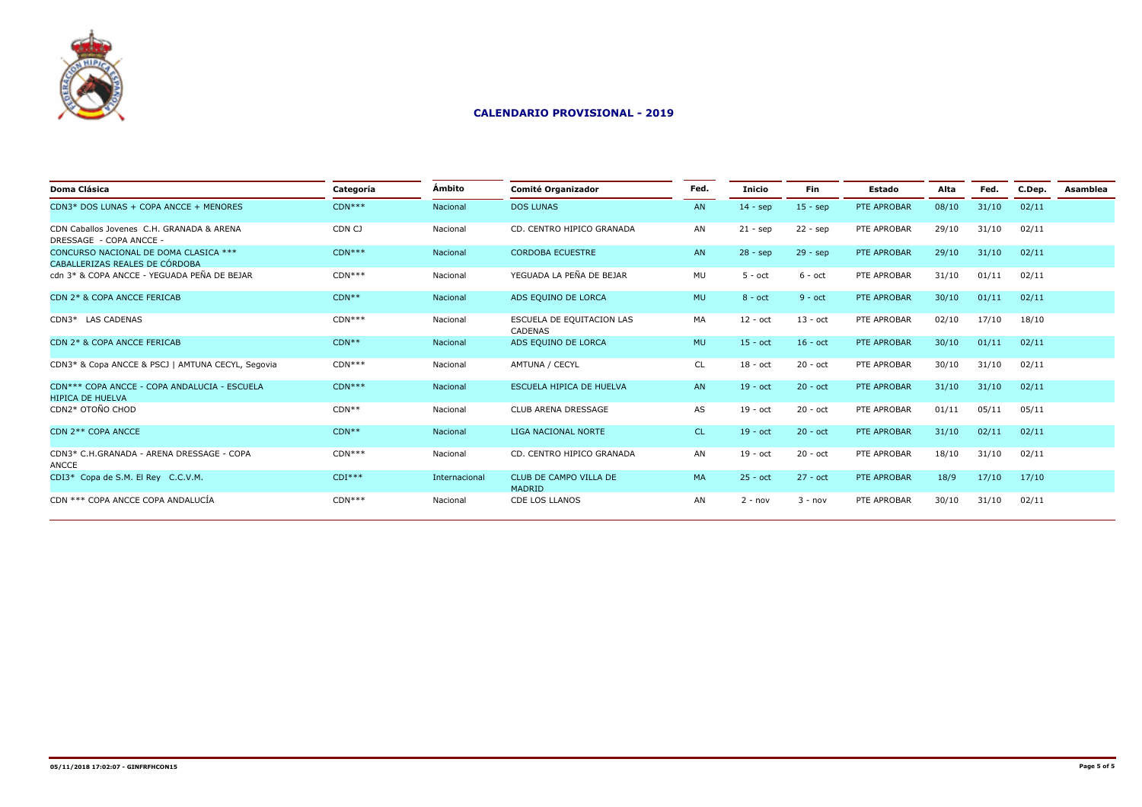

| Doma Clásica                                                            | Categoría | Ámbito        | <b>Comité Organizador</b>            | Fed.      | Inicio     | <b>Fin</b>        | Estado      | Alta  | Fed.  | C.Dep. | Asamblea |
|-------------------------------------------------------------------------|-----------|---------------|--------------------------------------|-----------|------------|-------------------|-------------|-------|-------|--------|----------|
| CDN3* DOS LUNAS + COPA ANCCE + MENORES                                  | $CDN***$  | Nacional      | <b>DOS LUNAS</b>                     | AN        | $14 - sep$ | $15 -$ sep        | PTE APROBAR | 08/10 | 31/10 | 02/11  |          |
| CDN Caballos Jovenes, C.H. GRANADA & ARENA<br>DRESSAGE - COPA ANCCE -   | CDN CJ    | Nacional      | CD. CENTRO HIPICO GRANADA            | AN        | $21 - sep$ | $22 - sep$        | PTE APROBAR | 29/10 | 31/10 | 02/11  |          |
| CONCURSO NACIONAL DE DOMA CLASICA ***<br>CABALLERIZAS REALES DE CÓRDOBA | $CDN***$  | Nacional      | <b>CORDOBA ECUESTRE</b>              | AN        | $28 - sep$ | $29 - sep$        | PTE APROBAR | 29/10 | 31/10 | 02/11  |          |
| cdn 3* & COPA ANCCE - YEGUADA PEÑA DE BEJAR                             | $CDN***$  | Nacional      | YEGUADA LA PEÑA DE BEJAR             | MU        | $5 - oct$  | $6 - oct$         | PTE APROBAR | 31/10 | 01/11 | 02/11  |          |
| CDN 2* & COPA ANCCE FERICAB                                             | $CDN**$   | Nacional      | ADS EQUINO DE LORCA                  | <b>MU</b> | $8 - oct$  | $9 - oct$         | PTE APROBAR | 30/10 | 01/11 | 02/11  |          |
| CDN3* LAS CADENAS                                                       | $CDN***$  | Nacional      | ESCUELA DE EQUITACION LAS<br>CADENAS | MA        | $12 - oct$ | $13 - \text{oct}$ | PTE APROBAR | 02/10 | 17/10 | 18/10  |          |
| CDN 2* & COPA ANCCE FERICAB                                             | $CDN**$   | Nacional      | ADS EQUINO DE LORCA                  | <b>MU</b> | $15 - oct$ | $16 - oct$        | PTE APROBAR | 30/10 | 01/11 | 02/11  |          |
| CDN3* & Copa ANCCE & PSCJ   AMTUNA CECYL, Segovia                       | $CDN***$  | Nacional      | AMTUNA / CECYL                       | <b>CL</b> | $18 - oct$ | $20 - oct$        | PTE APROBAR | 30/10 | 31/10 | 02/11  |          |
| CDN*** COPA ANCCE - COPA ANDALUCIA - ESCUELA<br><b>HIPICA DE HUELVA</b> | $CDN***$  | Nacional      | ESCUELA HIPICA DE HUELVA             | AN        | $19 - oct$ | $20 - oct$        | PTE APROBAR | 31/10 | 31/10 | 02/11  |          |
| CDN2* OTOÑO CHOD                                                        | $CDN**$   | Nacional      | CLUB ARENA DRESSAGE                  | AS        | 19 - oct   | $20 - oct$        | PTE APROBAR | 01/11 | 05/11 | 05/11  |          |
| CDN 2** COPA ANCCE                                                      | $CDN**$   | Nacional      | LIGA NACIONAL NORTE                  | <b>CL</b> | $19 - oct$ | $20 - oct$        | PTE APROBAR | 31/10 | 02/11 | 02/11  |          |
| CDN3* C.H.GRANADA - ARENA DRESSAGE - COPA<br>ANCCE                      | $CDN***$  | Nacional      | CD. CENTRO HIPICO GRANADA            | AN        | $19 - oct$ | $20 - oct$        | PTE APROBAR | 18/10 | 31/10 | 02/11  |          |
| CDI3* Copa de S.M. El Rey C.C.V.M.                                      | $CDI***$  | Internacional | CLUB DE CAMPO VILLA DE<br>MADRID     | MA        | $25 - oct$ | $27 - oct$        | PTE APROBAR | 18/9  | 17/10 | 17/10  |          |
| CDN *** COPA ANCCE COPA ANDALUCÍA                                       | $CDN***$  | Nacional      | <b>CDE LOS LLANOS</b>                | AN        | $2 - nov$  | $3 - nov$         | PTE APROBAR | 30/10 | 31/10 | 02/11  |          |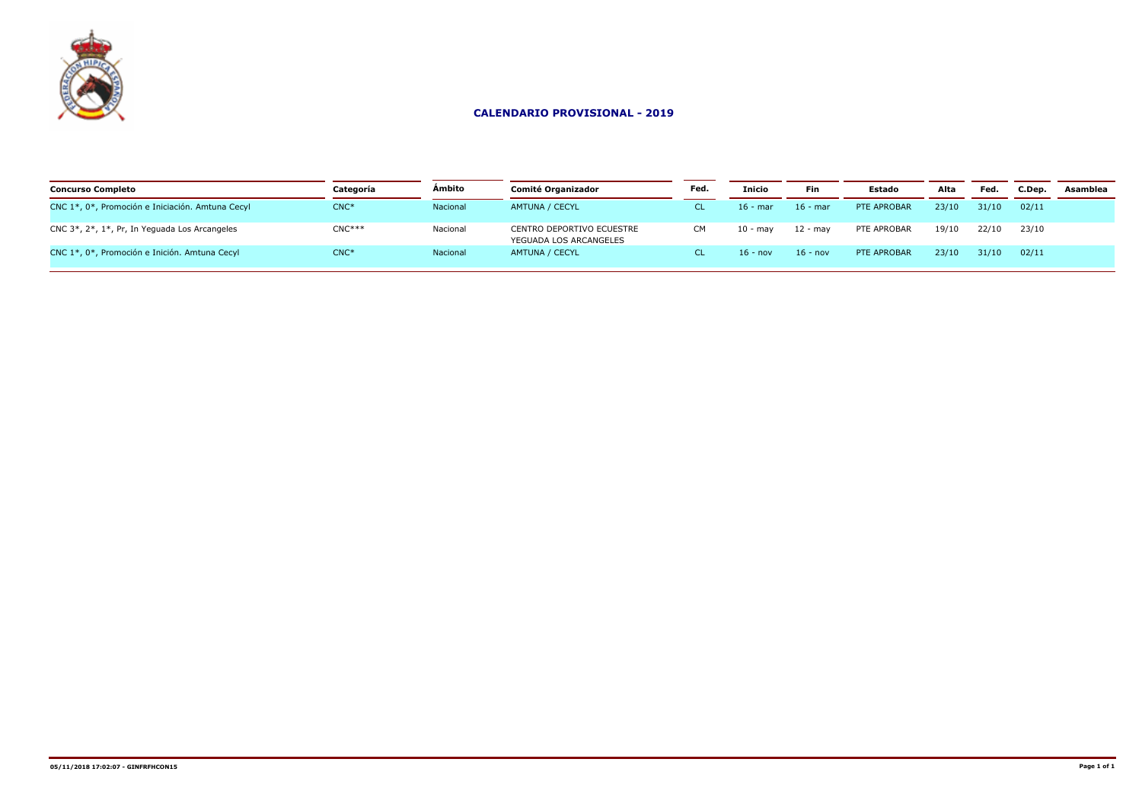

| <b>Concurso Completo</b>                         | Categoría | Ambito   | Comité Organizador                                  | Fed. | <b>Inicio</b> | Fin        | Estado      | Alta  | Fed.  | C.Dep. | Asamblea |
|--------------------------------------------------|-----------|----------|-----------------------------------------------------|------|---------------|------------|-------------|-------|-------|--------|----------|
| CNC 1*, 0*, Promoción e Iniciación. Amtuna Cecyl | $CNC*$    | Nacional | AMTUNA / CECYL                                      |      | $16$ - mar    | $16$ - mar | PTE APROBAR | 23/10 | 31/10 | 02/11  |          |
| CNC 3*, 2*, 1*, Pr, In Yeguada Los Arcangeles    | $CNC***$  | Nacional | CENTRO DEPORTIVO ECUESTRE<br>YEGUADA LOS ARCANGELES | CМ   | 10 - mav      | 12 - mav   | PTE APROBAR | 19/10 | 22/10 | 23/10  |          |
| CNC 1*, 0*, Promoción e Inición. Amtuna Cecyl    | $CNC*$    | Nacional | AMTUNA / CECYL                                      |      | 16 - nov      | $16 - nov$ | PTE APROBAR | 23/10 | 31/10 | 02/11  |          |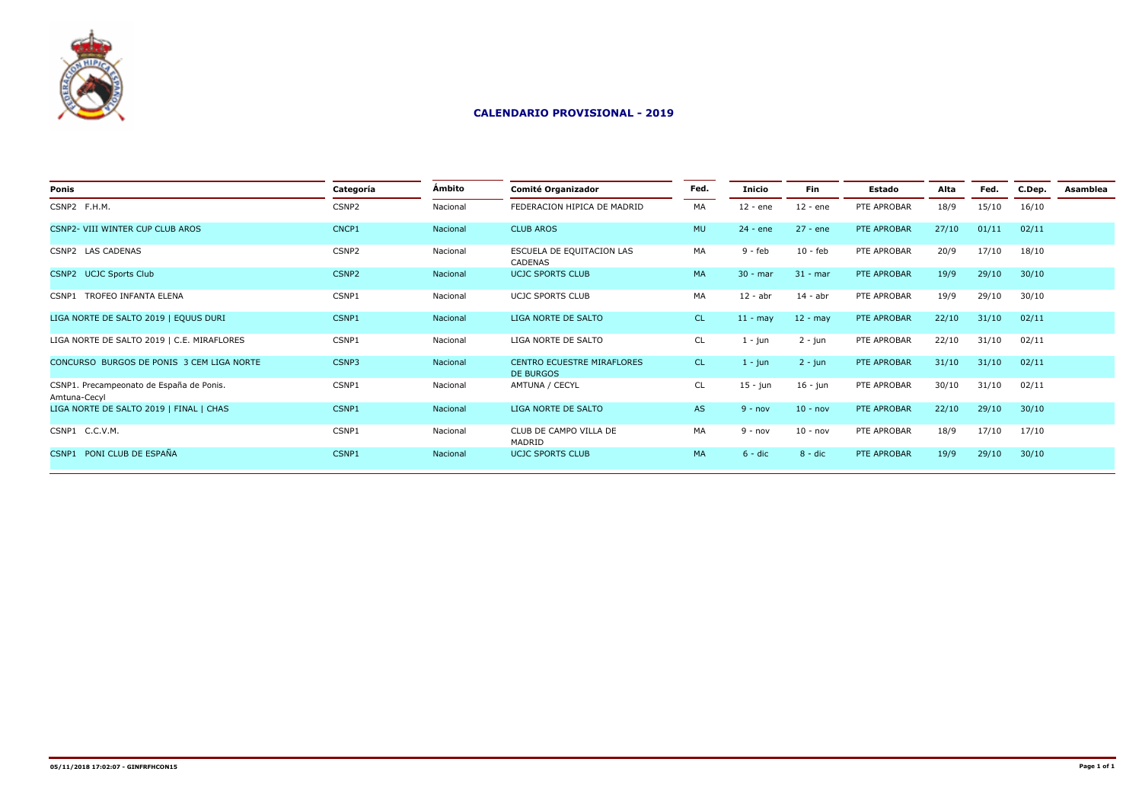

| Ponis                                                    | Categoría | Ámbito   | Comité Organizador                             | Fed.      | Inicio     | <b>Fin</b> | Estado      | Alta  | Fed.  | C.Dep. | Asamblea |
|----------------------------------------------------------|-----------|----------|------------------------------------------------|-----------|------------|------------|-------------|-------|-------|--------|----------|
| CSNP2 F.H.M.                                             | CSNP2     | Nacional | FEDERACION HIPICA DE MADRID                    | MA        | 12 - ene   | $12 - ene$ | PTE APROBAR | 18/9  | 15/10 | 16/10  |          |
| CSNP2- VIII WINTER CUP CLUB AROS                         | CNCP1     | Nacional | <b>CLUB AROS</b>                               | <b>MU</b> | $24 - ene$ | $27 - ene$ | PTE APROBAR | 27/10 | 01/11 | 02/11  |          |
| CSNP2 LAS CADENAS                                        | CSNP2     | Nacional | ESCUELA DE EQUITACION LAS<br>CADENAS           | MA        | 9 - feb    | $10 - feb$ | PTE APROBAR | 20/9  | 17/10 | 18/10  |          |
| CSNP2 UCJC Sports Club                                   | CSNP2     | Nacional | <b>UCJC SPORTS CLUB</b>                        | <b>MA</b> | $30 - mar$ | $31 - mar$ | PTE APROBAR | 19/9  | 29/10 | 30/10  |          |
| CSNP1 TROFEO INFANTA ELENA                               | CSNP1     | Nacional | UCJC SPORTS CLUB                               | MA        | $12 - abr$ | $14 - abr$ | PTE APROBAR | 19/9  | 29/10 | 30/10  |          |
| LIGA NORTE DE SALTO 2019   EQUUS DURI                    | CSNP1     | Nacional | LIGA NORTE DE SALTO                            | <b>CL</b> | $11 - may$ | $12 - may$ | PTE APROBAR | 22/10 | 31/10 | 02/11  |          |
| LIGA NORTE DE SALTO 2019   C.E. MIRAFLORES               | CSNP1     | Nacional | LIGA NORTE DE SALTO                            | <b>CL</b> | $1 - jun$  | $2 - jun$  | PTE APROBAR | 22/10 | 31/10 | 02/11  |          |
| CONCURSO BURGOS DE PONIS 3 CEM LIGA NORTE                | CSNP3     | Nacional | <b>CENTRO ECUESTRE MIRAFLORES</b><br>DE BURGOS | CL        | $1 - j$ un | $2 - j$ un | PTE APROBAR | 31/10 | 31/10 | 02/11  |          |
| CSNP1. Precampeonato de España de Ponis.<br>Amtuna-Cecvl | CSNP1     | Nacional | AMTUNA / CECYL                                 | CL        | $15 - jun$ | $16 - jun$ | PTE APROBAR | 30/10 | 31/10 | 02/11  |          |
| LIGA NORTE DE SALTO 2019   FINAL   CHAS                  | CSNP1     | Nacional | LIGA NORTE DE SALTO                            | AS        | $9 - nov$  | $10 - nov$ | PTE APROBAR | 22/10 | 29/10 | 30/10  |          |
| CSNP1 C.C.V.M.                                           | CSNP1     | Nacional | CLUB DE CAMPO VILLA DE<br>MADRID               | MA        | $9 - nov$  | $10 - nov$ | PTE APROBAR | 18/9  | 17/10 | 17/10  |          |
| CSNP1 PONI CLUB DE ESPAÑA                                | CSNP1     | Nacional | <b>UCJC SPORTS CLUB</b>                        | MA        | $6 - dic$  | $8 - dic$  | PTE APROBAR | 19/9  | 29/10 | 30/10  |          |
|                                                          |           |          |                                                |           |            |            |             |       |       |        |          |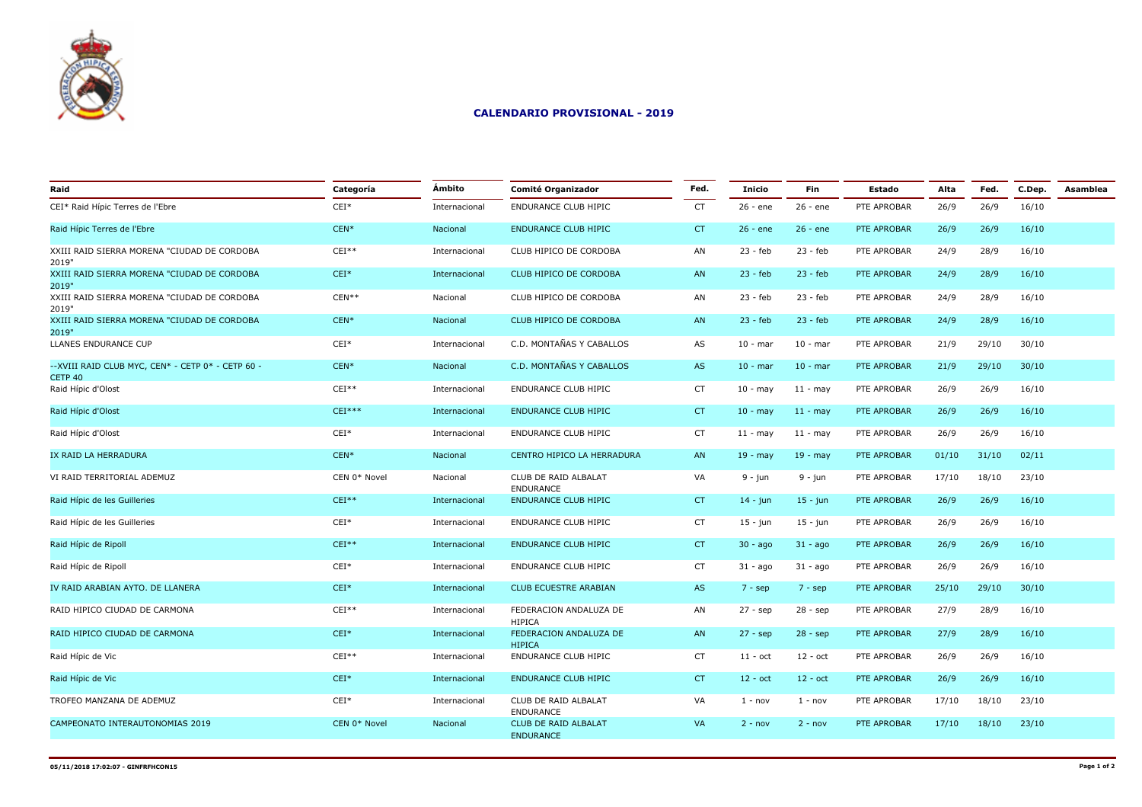

| Raid                                                          | Categoría    | Ámbito        | <b>Comité Organizador</b>                       | Fed.      | <b>Inicio</b>     | <b>Fin</b>  | Estado      | Alta  | Fed.  | C.Dep. | Asamblea |
|---------------------------------------------------------------|--------------|---------------|-------------------------------------------------|-----------|-------------------|-------------|-------------|-------|-------|--------|----------|
| CEI* Raid Hípic Terres de l'Ebre                              | $CEI*$       | Internacional | <b>ENDURANCE CLUB HIPIC</b>                     | <b>CT</b> | $26 - ene$        | 26 - ene    | PTE APROBAR | 26/9  | 26/9  | 16/10  |          |
| Raid Hípic Terres de l'Ebre                                   | $CEN*$       | Nacional      | <b>ENDURANCE CLUB HIPIC</b>                     | CT        | $26 - ene$        | $26 - ene$  | PTE APROBAR | 26/9  | 26/9  | 16/10  |          |
| XXIII RAID SIERRA MORENA "CIUDAD DE CORDOBA<br>2019"          | $CEI**$      | Internacional | CLUB HIPICO DE CORDOBA                          | AN        | $23 - feb$        | $23 - feb$  | PTE APROBAR | 24/9  | 28/9  | 16/10  |          |
| XXIII RAID SIERRA MORENA "CIUDAD DE CORDOBA<br>2019"          | $CEI*$       | Internacional | CLUB HIPICO DE CORDOBA                          | AN        | $23 - feb$        | $23 - feb$  | PTE APROBAR | 24/9  | 28/9  | 16/10  |          |
| XXIII RAID SIERRA MORENA "CIUDAD DE CORDOBA<br>2019"          | $CEN**$      | Nacional      | CLUB HIPICO DE CORDOBA                          | AN        | $23 - feb$        | $23 - feb$  | PTE APROBAR | 24/9  | 28/9  | 16/10  |          |
| XXIII RAID SIERRA MORENA "CIUDAD DE CORDOBA<br>2019"          | $CEN*$       | Nacional      | CLUB HIPICO DE CORDOBA                          | AN        | $23 - feb$        | $23 - feb$  | PTE APROBAR | 24/9  | 28/9  | 16/10  |          |
| LLANES ENDURANCE CUP                                          | $CEI*$       | Internacional | C.D. MONTAÑAS Y CABALLOS                        | AS        | $10 - mar$        | $10 - mar$  | PTE APROBAR | 21/9  | 29/10 | 30/10  |          |
| -- XVIII RAID CLUB MYC, CEN* - CETP 0* - CETP 60 -<br>CETP 40 | $CEN*$       | Nacional      | C.D. MONTAÑAS Y CABALLOS                        | AS        | $10 - mar$        | $10 - mar$  | PTE APROBAR | 21/9  | 29/10 | 30/10  |          |
| Raid Hípic d'Olost                                            | $CEI**$      | Internacional | ENDURANCE CLUB HIPIC                            | <b>CT</b> | $10 -$ may        | $11 - may$  | PTE APROBAR | 26/9  | 26/9  | 16/10  |          |
| Raid Hípic d'Olost                                            | $CEI***$     | Internacional | <b>ENDURANCE CLUB HIPIC</b>                     | CT        | $10 -$ may        | $11 - may$  | PTE APROBAR | 26/9  | 26/9  | 16/10  |          |
| Raid Hípic d'Olost                                            | $CEI*$       | Internacional | ENDURANCE CLUB HIPIC                            | <b>CT</b> | $11 - may$        | $11 - may$  | PTE APROBAR | 26/9  | 26/9  | 16/10  |          |
| IX RAID LA HERRADURA                                          | $CEN*$       | Nacional      | CENTRO HIPICO LA HERRADURA                      | AN        | $19 - may$        | $19 - may$  | PTE APROBAR | 01/10 | 31/10 | 02/11  |          |
| VI RAID TERRITORIAL ADEMUZ                                    | CEN 0* Novel | Nacional      | CLUB DE RAID ALBALAT<br><b>ENDURANCE</b>        | VA        | $9 - i$ un        | 9 - jun     | PTE APROBAR | 17/10 | 18/10 | 23/10  |          |
| Raid Hípic de les Guilleries                                  | $CEI**$      | Internacional | <b>ENDURANCE CLUB HIPIC</b>                     | CT        | $14 - j$ un       | $15 - j$ un | PTE APROBAR | 26/9  | 26/9  | 16/10  |          |
| Raid Hípic de les Guilleries                                  | $CEI*$       | Internacional | ENDURANCE CLUB HIPIC                            | <b>CT</b> | $15 - jun$        | $15 - j$ un | PTE APROBAR | 26/9  | 26/9  | 16/10  |          |
| Raid Hípic de Ripoll                                          | $CEI**$      | Internacional | <b>ENDURANCE CLUB HIPIC</b>                     | CT        | $30 - ago$        | $31 - a$ go | PTE APROBAR | 26/9  | 26/9  | 16/10  |          |
| Raid Hípic de Ripoll                                          | $CEI*$       | Internacional | ENDURANCE CLUB HIPIC                            | <b>CT</b> | $31 - a$ go       | $31 - a$ go | PTE APROBAR | 26/9  | 26/9  | 16/10  |          |
| IV RAID ARABIAN AYTO. DE LLANERA                              | $CEI*$       | Internacional | <b>CLUB ECUESTRE ARABIAN</b>                    | AS        | $7 - sep$         | $7 - sep$   | PTE APROBAR | 25/10 | 29/10 | 30/10  |          |
| RAID HIPICO CIUDAD DE CARMONA                                 | $CEI**$      | Internacional | FEDERACION ANDALUZA DE<br><b>HIPICA</b>         | AN        | $27 - sep$        | $28 - sep$  | PTE APROBAR | 27/9  | 28/9  | 16/10  |          |
| RAID HIPICO CIUDAD DE CARMONA                                 | $CEI*$       | Internacional | FEDERACION ANDALUZA DE<br><b>HIPICA</b>         | AN        | $27 - sep$        | $28 - sep$  | PTE APROBAR | 27/9  | 28/9  | 16/10  |          |
| Raid Hípic de Vic                                             | $CEI**$      | Internacional | ENDURANCE CLUB HIPIC                            | <b>CT</b> | $11 - \text{oct}$ | $12 - oct$  | PTE APROBAR | 26/9  | 26/9  | 16/10  |          |
| Raid Hípic de Vic                                             | $CEI*$       | Internacional | <b>ENDURANCE CLUB HIPIC</b>                     | CT        | $12 - oct$        | $12 - oct$  | PTE APROBAR | 26/9  | 26/9  | 16/10  |          |
| TROFEO MANZANA DE ADEMUZ                                      | $CEI*$       | Internacional | CLUB DE RAID ALBALAT<br><b>ENDURANCE</b>        | VA        | $1 - nov$         | $1 - nov$   | PTE APROBAR | 17/10 | 18/10 | 23/10  |          |
| CAMPEONATO INTERAUTONOMIAS 2019                               | CEN 0* Novel | Nacional      | <b>CLUB DE RAID ALBALAT</b><br><b>ENDURANCE</b> | VA        | $2 - nov$         | $2 - nov$   | PTE APROBAR | 17/10 | 18/10 | 23/10  |          |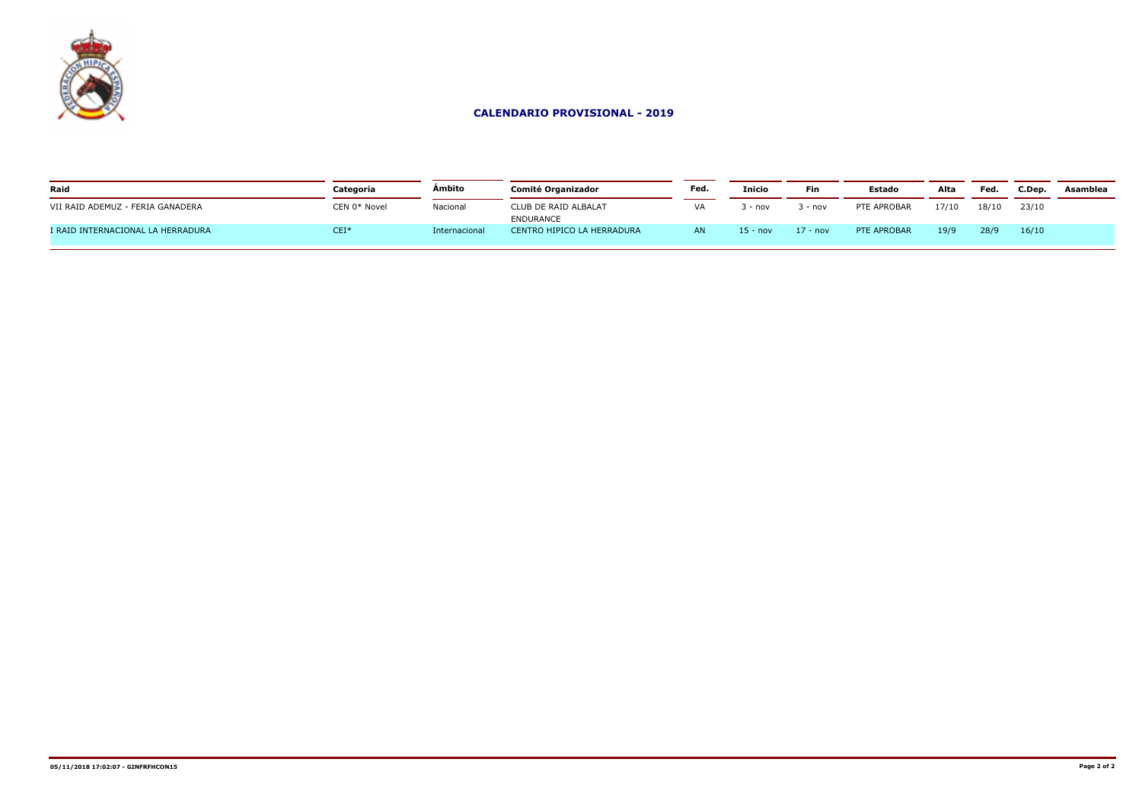

| Raid                              | Categoría    | Ámbito        | Comité Organizador                | Fed                      | <b>Inicio</b> | Fin      | <b>Estado</b> | Alta  | Fed.  | C.Dep | Asamblea |
|-----------------------------------|--------------|---------------|-----------------------------------|--------------------------|---------------|----------|---------------|-------|-------|-------|----------|
| VII RAID ADEMUZ - FERIA GANADERA  | CEN 0* Novel | Nacional      | CLUB DE RAID ALBALAT<br>ENDURANCE | $\overline{\phantom{a}}$ | $-$ nov       | - nov    | PTE APROBAR   | 17/10 | 18/10 | 23/10 |          |
| I RAID INTERNACIONAL LA HERRADURA | $CEI*$       | Internacional | CENTRO HIPICO LA HERRADURA        | AN                       | $5 - nov$     | 17 - nov | PTE APROBAR   | 19/9  | 28/9  | 16/10 |          |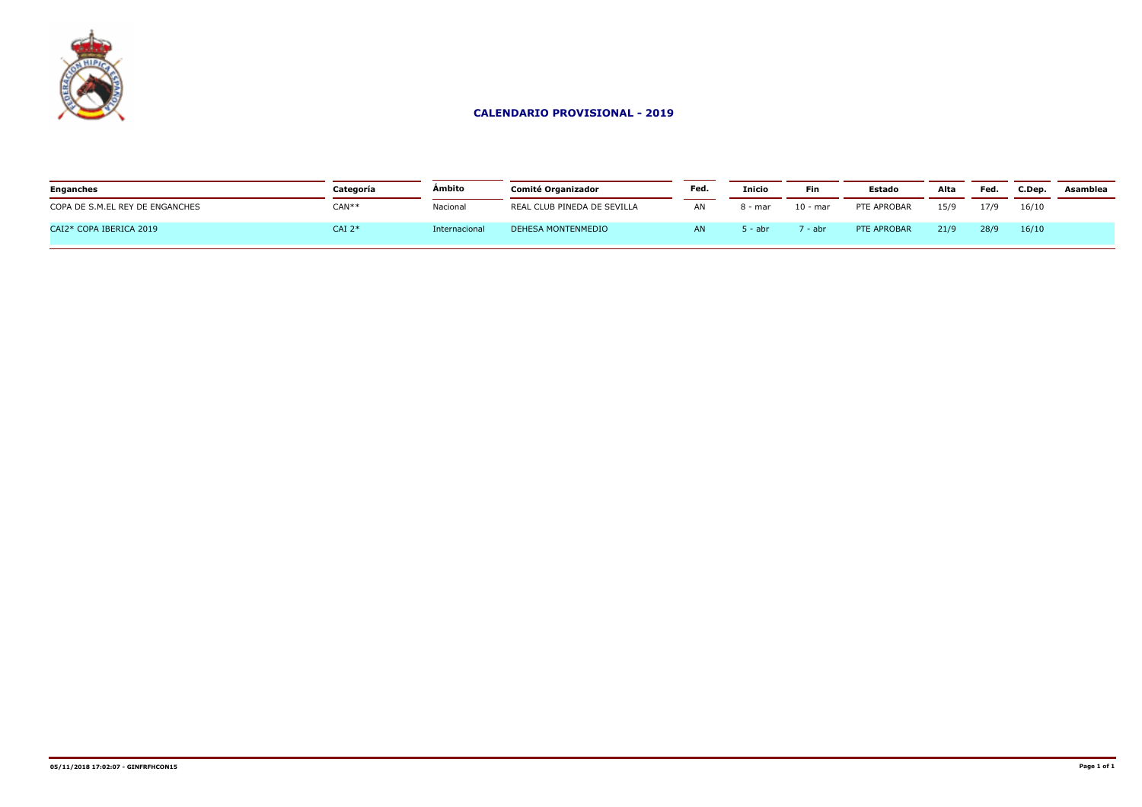

| <b>Enganches</b>                | Categoría  | Ámbito        | <b>Comité Organizador</b>   | Fed. | <b>Inicio</b> | <b>Fin</b> | <b>Estado</b> | Alta | Fed  | C.Dep. | Asamblea |
|---------------------------------|------------|---------------|-----------------------------|------|---------------|------------|---------------|------|------|--------|----------|
| COPA DE S.M.EL REY DE ENGANCHES | $CAN**$    | Nacional      | REAL CLUB PINEDA DE SEVILLA | AN   | 8 - mar       | 10 - mar   | PTE APROBAR   | 15/9 | 17/9 | 16/10  |          |
| CAI2* COPA IBERICA 2019         | $CAI$ $2*$ | Internacional | DEHESA MONTENMEDIO          |      | . – abr       | ' - abr    | PTE APROBAR   | 21/9 | 28/9 | 16/10  |          |
|                                 |            |               |                             |      |               |            |               |      |      |        |          |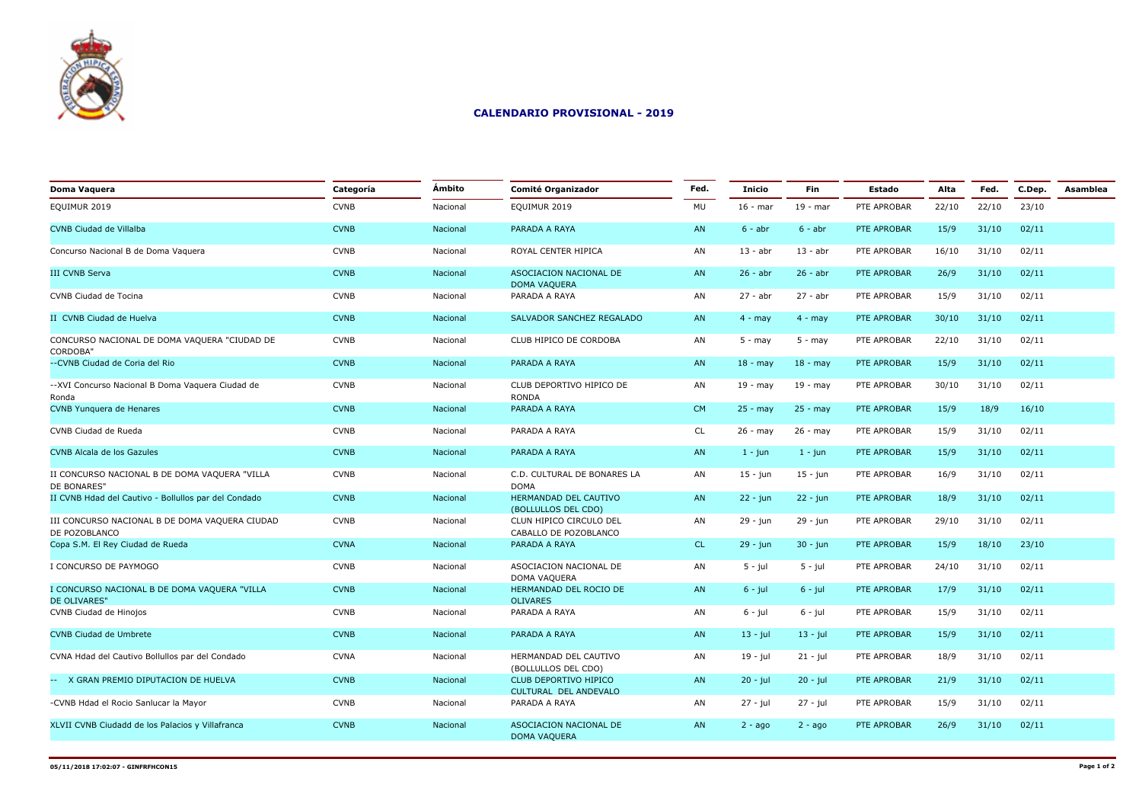

| Doma Vaquera                                                    | Categoría   | Ámbito   | <b>Comité Organizador</b>                             | Fed.      | <b>Inicio</b> | Fin         | <b>Estado</b> | Alta  | Fed.  | C.Dep. | Asamblea |
|-----------------------------------------------------------------|-------------|----------|-------------------------------------------------------|-----------|---------------|-------------|---------------|-------|-------|--------|----------|
| EQUIMUR 2019                                                    | <b>CVNB</b> | Nacional | EQUIMUR 2019                                          | MU        | $16 - mar$    | $19 - mar$  | PTE APROBAR   | 22/10 | 22/10 | 23/10  |          |
| <b>CVNB Ciudad de Villalba</b>                                  | <b>CVNB</b> | Nacional | PARADA A RAYA                                         | AN        | $6 - abr$     | $6 - abr$   | PTE APROBAR   | 15/9  | 31/10 | 02/11  |          |
| Concurso Nacional B de Doma Vaguera                             | <b>CVNB</b> | Nacional | ROYAL CENTER HIPICA                                   | AN        | $13 - abr$    | $13 - abr$  | PTE APROBAR   | 16/10 | 31/10 | 02/11  |          |
| <b>III CVNB Serva</b>                                           | <b>CVNB</b> | Nacional | ASOCIACION NACIONAL DE<br><b>DOMA VAQUERA</b>         | AN        | $26 - abr$    | $26 - abr$  | PTE APROBAR   | 26/9  | 31/10 | 02/11  |          |
| CVNB Ciudad de Tocina                                           | <b>CVNB</b> | Nacional | PARADA A RAYA                                         | AN        | 27 - abr      | $27 - abr$  | PTE APROBAR   | 15/9  | 31/10 | 02/11  |          |
| II CVNB Ciudad de Huelva                                        | <b>CVNB</b> | Nacional | SALVADOR SANCHEZ REGALADO                             | AN        | $4 - may$     | $4 - may$   | PTE APROBAR   | 30/10 | 31/10 | 02/11  |          |
| CONCURSO NACIONAL DE DOMA VAQUERA "CIUDAD DE<br><b>CORDOBA"</b> | <b>CVNB</b> | Nacional | CLUB HIPICO DE CORDOBA                                | AN        | $5 - may$     | $5 - may$   | PTE APROBAR   | 22/10 | 31/10 | 02/11  |          |
| --CVNB Ciudad de Coria del Rio                                  | <b>CVNB</b> | Nacional | PARADA A RAYA                                         | AN        | $18 - may$    | $18 - may$  | PTE APROBAR   | 15/9  | 31/10 | 02/11  |          |
| --XVI Concurso Nacional B Doma Vaguera Ciudad de<br>Ronda       | <b>CVNB</b> | Nacional | CLUB DEPORTIVO HIPICO DE<br><b>RONDA</b>              | AN        | $19 - may$    | 19 - may    | PTE APROBAR   | 30/10 | 31/10 | 02/11  |          |
| <b>CVNB Yunguera de Henares</b>                                 | <b>CVNB</b> | Nacional | PARADA A RAYA                                         | <b>CM</b> | $25 - may$    | $25 - may$  | PTE APROBAR   | 15/9  | 18/9  | 16/10  |          |
| CVNB Ciudad de Rueda                                            | <b>CVNB</b> | Nacional | PARADA A RAYA                                         | CL        | $26 - may$    | 26 - may    | PTE APROBAR   | 15/9  | 31/10 | 02/11  |          |
| CVNB Alcala de los Gazules                                      | <b>CVNB</b> | Nacional | PARADA A RAYA                                         | AN        | $1 - j$ un    | $1 - j$ un  | PTE APROBAR   | 15/9  | 31/10 | 02/11  |          |
| II CONCURSO NACIONAL B DE DOMA VAQUERA "VILLA<br>DE BONARES"    | <b>CVNB</b> | Nacional | C.D. CULTURAL DE BONARES LA<br><b>DOMA</b>            | AN        | $15 - jun$    | $15 - jun$  | PTE APROBAR   | 16/9  | 31/10 | 02/11  |          |
| II CVNB Hdad del Cautivo - Bollullos par del Condado            | <b>CVNB</b> | Nacional | HERMANDAD DEL CAUTIVO<br>(BOLLULLOS DEL CDO)          | AN        | $22 - j$ un   | $22 - i$ un | PTE APROBAR   | 18/9  | 31/10 | 02/11  |          |
| III CONCURSO NACIONAL B DE DOMA VAQUERA CIUDAD<br>DE POZOBLANCO | <b>CVNB</b> | Nacional | CLUN HIPICO CIRCULO DEL<br>CABALLO DE POZOBLANCO      | AN        | 29 - jun      | 29 - jun    | PTE APROBAR   | 29/10 | 31/10 | 02/11  |          |
| Copa S.M. El Rey Ciudad de Rueda                                | <b>CVNA</b> | Nacional | PARADA A RAYA                                         | <b>CL</b> | 29 - jun      | $30 - j$ un | PTE APROBAR   | 15/9  | 18/10 | 23/10  |          |
| I CONCURSO DE PAYMOGO                                           | <b>CVNB</b> | Nacional | ASOCIACION NACIONAL DE<br>DOMA VAQUERA                | AN        | $5 - iul$     | $5 - iul$   | PTE APROBAR   | 24/10 | 31/10 | 02/11  |          |
| I CONCURSO NACIONAL B DE DOMA VAQUERA "VILLA<br>DE OLIVARES'    | <b>CVNB</b> | Nacional | HERMANDAD DEL ROCIO DE<br><b>OLIVARES</b>             | AN        | $6 - jul$     | $6 - jul$   | PTE APROBAR   | 17/9  | 31/10 | 02/11  |          |
| CVNB Ciudad de Hinojos                                          | <b>CVNB</b> | Nacional | PARADA A RAYA                                         | AN        | $6 - j$ ul    | $6 - jul$   | PTE APROBAR   | 15/9  | 31/10 | 02/11  |          |
| <b>CVNB Ciudad de Umbrete</b>                                   | <b>CVNB</b> | Nacional | PARADA A RAYA                                         | AN        | $13 - jul$    | $13 - jul$  | PTE APROBAR   | 15/9  | 31/10 | 02/11  |          |
| CVNA Hdad del Cautivo Bollullos par del Condado                 | <b>CVNA</b> | Nacional | HERMANDAD DEL CAUTIVO<br>(BOLLULLOS DEL CDO)          | AN        | 19 - jul      | $21 - jul$  | PTE APROBAR   | 18/9  | 31/10 | 02/11  |          |
| -- X GRAN PREMIO DIPUTACION DE HUELVA                           | <b>CVNB</b> | Nacional | <b>CLUB DEPORTIVO HIPICO</b><br>CULTURAL DEL ANDEVALO | AN        | $20 - j$ ul   | $20 - j$ ul | PTE APROBAR   | 21/9  | 31/10 | 02/11  |          |
| -CVNB Hdad el Rocio Sanlucar la Mayor                           | <b>CVNB</b> | Nacional | PARADA A RAYA                                         | AN        | $27 - iul$    | 27 - jul    | PTE APROBAR   | 15/9  | 31/10 | 02/11  |          |
| XLVII CVNB Ciudadd de los Palacios y Villafranca                | <b>CVNB</b> | Nacional | ASOCIACION NACIONAL DE<br><b>DOMA VAQUERA</b>         | AN        | $2 - ago$     | $2 - aqo$   | PTE APROBAR   | 26/9  | 31/10 | 02/11  |          |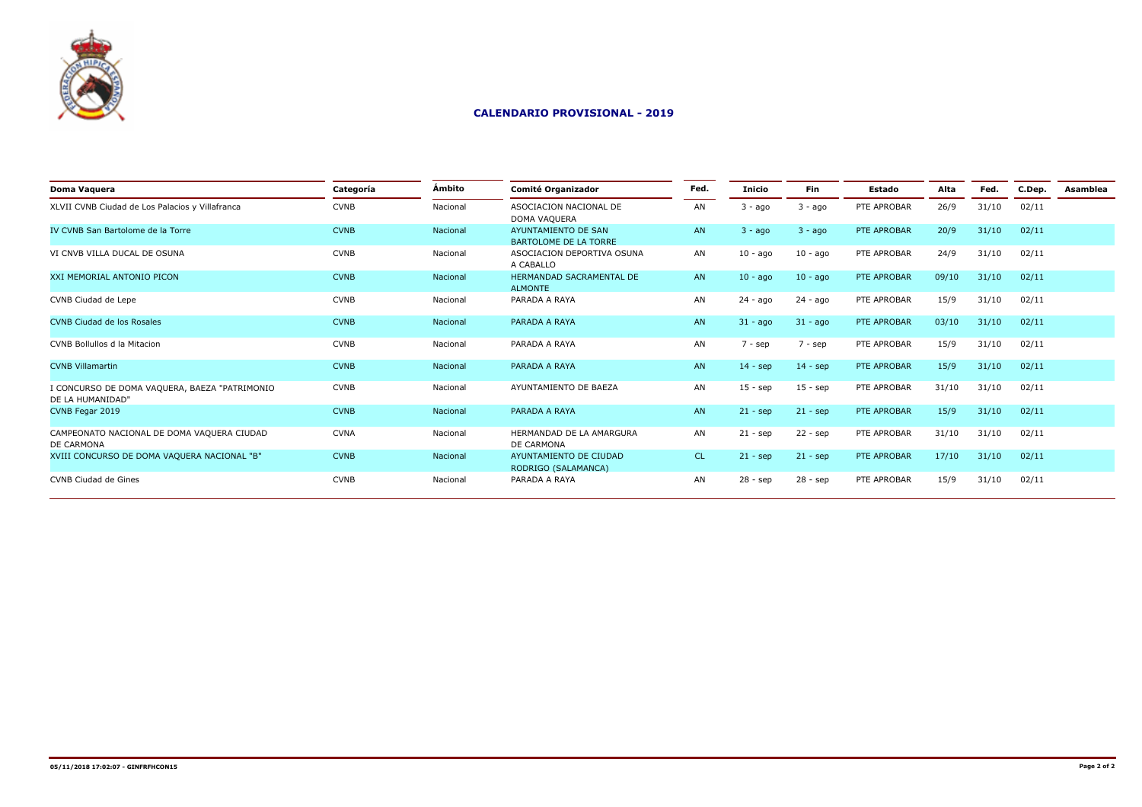

| Doma Vaguera                                                      | Categoría   | Ámbito   | <b>Comité Organizador</b>                     | Fed.      | Inicio      | <b>Fin</b>  | Estado      | Alta  | Fed.  | C.Dep. | Asamblea |
|-------------------------------------------------------------------|-------------|----------|-----------------------------------------------|-----------|-------------|-------------|-------------|-------|-------|--------|----------|
| XLVII CVNB Ciudad de Los Palacios y Villafranca                   | <b>CVNB</b> | Nacional | ASOCIACION NACIONAL DE<br>DOMA VAQUERA        | AN        | $3 - a$ go  | $3 - aqo$   | PTE APROBAR | 26/9  | 31/10 | 02/11  |          |
| IV CVNB San Bartolome de la Torre                                 | <b>CVNB</b> | Nacional | AYUNTAMIENTO DE SAN<br>BARTOLOME DE LA TORRE  | AN        | $3 - a$ go  | $3 - a$ go  | PTE APROBAR | 20/9  | 31/10 | 02/11  |          |
| VI CNVB VILLA DUCAL DE OSUNA                                      | <b>CVNB</b> | Nacional | ASOCIACION DEPORTIVA OSUNA<br>A CABALLO       | AN        | $10 - a$ go | $10 - aqo$  | PTE APROBAR | 24/9  | 31/10 | 02/11  |          |
| XXI MEMORIAL ANTONIO PICON                                        | <b>CVNB</b> | Nacional | HERMANDAD SACRAMENTAL DE<br><b>ALMONTE</b>    | AN        | $10 - a$ go | $10 - a$ go | PTE APROBAR | 09/10 | 31/10 | 02/11  |          |
| CVNB Ciudad de Lepe                                               | <b>CVNB</b> | Nacional | PARADA A RAYA                                 | AN        | 24 - ago    | 24 - ago    | PTE APROBAR | 15/9  | 31/10 | 02/11  |          |
| <b>CVNB Ciudad de los Rosales</b>                                 | <b>CVNB</b> | Nacional | PARADA A RAYA                                 | AN        | $31 - aqo$  | $31 - a$ go | PTE APROBAR | 03/10 | 31/10 | 02/11  |          |
| CVNB Bollullos d la Mitacion                                      | <b>CVNB</b> | Nacional | PARADA A RAYA                                 | AN        | $7 - sep$   | 7 - sep     | PTE APROBAR | 15/9  | 31/10 | 02/11  |          |
| <b>CVNB Villamartin</b>                                           | <b>CVNB</b> | Nacional | PARADA A RAYA                                 | AN        | $14 - sep$  | $14 -$ sep  | PTE APROBAR | 15/9  | 31/10 | 02/11  |          |
| I CONCURSO DE DOMA VAQUERA, BAEZA "PATRIMONIO<br>DE LA HUMANIDAD" | <b>CVNB</b> | Nacional | AYUNTAMIENTO DE BAEZA                         | AN        | $15 - sep$  | $15 -$ sep  | PTE APROBAR | 31/10 | 31/10 | 02/11  |          |
| CVNB Fegar 2019                                                   | <b>CVNB</b> | Nacional | PARADA A RAYA                                 | <b>AN</b> | $21 - sep$  | $21 - sep$  | PTE APROBAR | 15/9  | 31/10 | 02/11  |          |
| CAMPEONATO NACIONAL DE DOMA VAQUERA CIUDAD<br>DE CARMONA          | <b>CVNA</b> | Nacional | HERMANDAD DE LA AMARGURA<br>DE CARMONA        | AN        | $21 - sep$  | $22 -$ sep  | PTE APROBAR | 31/10 | 31/10 | 02/11  |          |
| XVIII CONCURSO DE DOMA VAQUERA NACIONAL "B"                       | <b>CVNB</b> | Nacional | AYUNTAMIENTO DE CIUDAD<br>RODRIGO (SALAMANCA) | CL.       | $21 - sep$  | $21 - sep$  | PTE APROBAR | 17/10 | 31/10 | 02/11  |          |
| CVNB Ciudad de Gines                                              | <b>CVNB</b> | Nacional | PARADA A RAYA                                 | AN        | $28 - sep$  | $28 - sep$  | PTE APROBAR | 15/9  | 31/10 | 02/11  |          |
|                                                                   |             |          |                                               |           |             |             |             |       |       |        |          |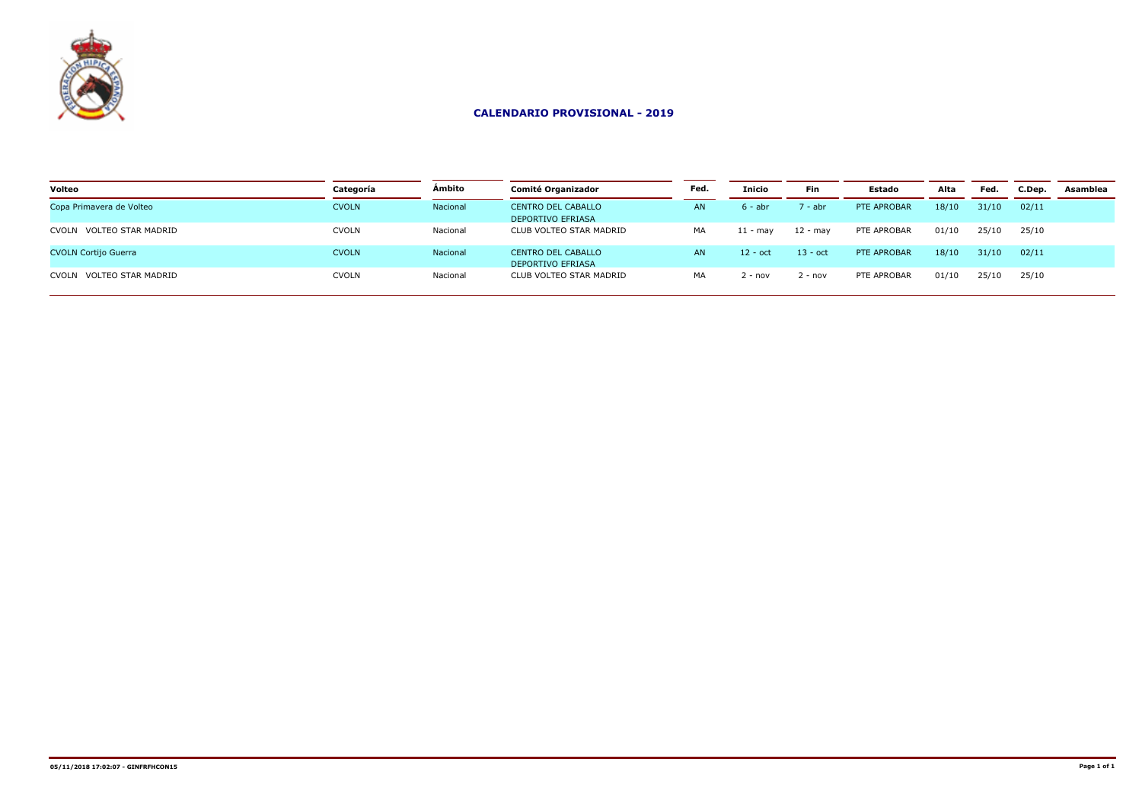

| Categoría    | <b>Ambito</b> | <b>Comité Organizador</b>                             | Fed.      | Inicio     | <b>Fin</b> | <b>Estado</b> | Alta  | Fed.  | C.Dep. | Asamblea |
|--------------|---------------|-------------------------------------------------------|-----------|------------|------------|---------------|-------|-------|--------|----------|
| <b>CVOLN</b> | Nacional      | <b>CENTRO DEL CABALLO</b><br><b>DEPORTIVO EFRIASA</b> | AN.       | $6 - abt$  | ' - abr    | PTE APROBAR   | 18/10 | 31/10 | 02/11  |          |
| <b>CVOLN</b> | Nacional      | CLUB VOLTEO STAR MADRID                               | MA        | $11 - max$ | 12 - mav   | PTE APROBAR   | 01/10 | 25/10 | 25/10  |          |
| <b>CVOLN</b> | Nacional      | <b>CENTRO DEL CABALLO</b><br><b>DEPORTIVO EFRIASA</b> | <b>AN</b> | $12 - oct$ | $13 - oct$ | PTE APROBAR   | 18/10 | 31/10 | 02/11  |          |
| <b>CVOLN</b> | Nacional      | CLUB VOLTEO STAR MADRID                               | MA        | 2 - nov    | $!$ - nov  | PTE APROBAR   | 01/10 | 25/10 | 25/10  |          |
|              |               |                                                       |           |            |            |               |       |       |        |          |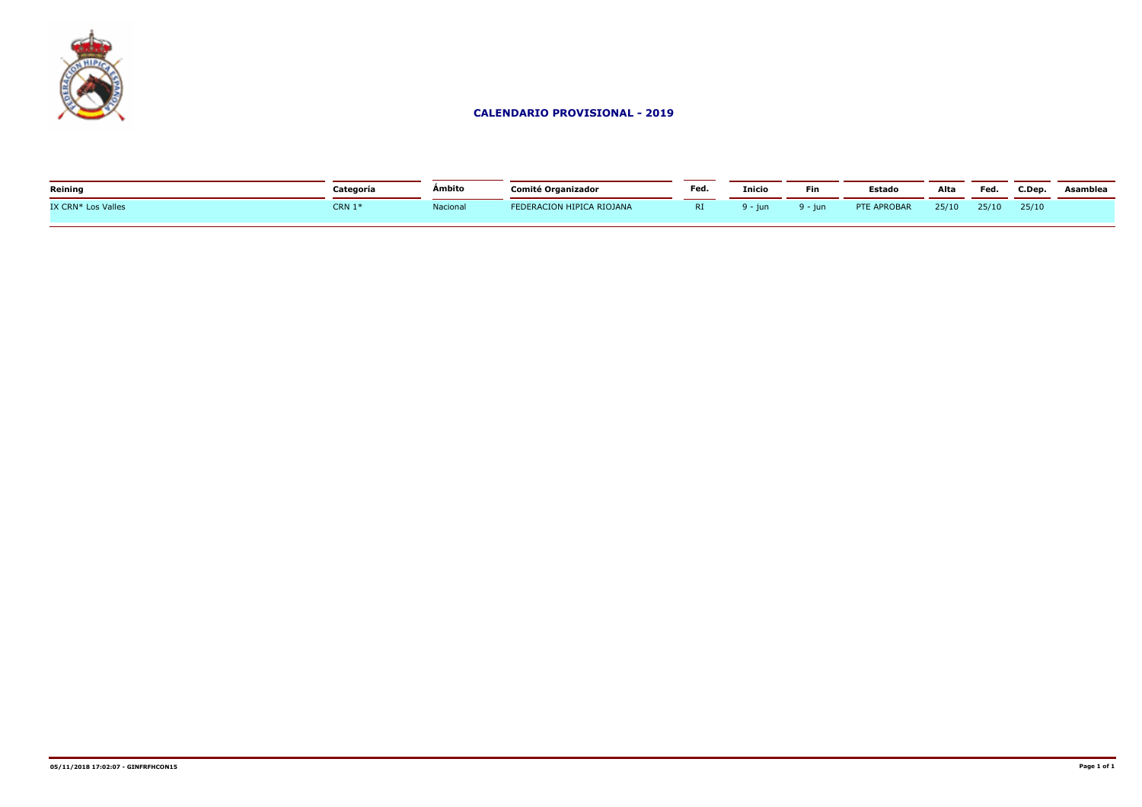

| Reining            | Categoría | <b>Ambito</b> | <b>Comité Organizador</b> | Fed. | <b>Inicio</b> | Fin     | Estado      | Alta  | Fea.  | C.Dep. | Asamblea |
|--------------------|-----------|---------------|---------------------------|------|---------------|---------|-------------|-------|-------|--------|----------|
| IX CRN* Los Valles | CRN $1*$  | Nacional      | FEDERACION HIPICA RIOJANA | RI.  | 9 - iun.      | 9 - iun | PTE APROBAR | 25/10 | 25/10 | 25/10  |          |